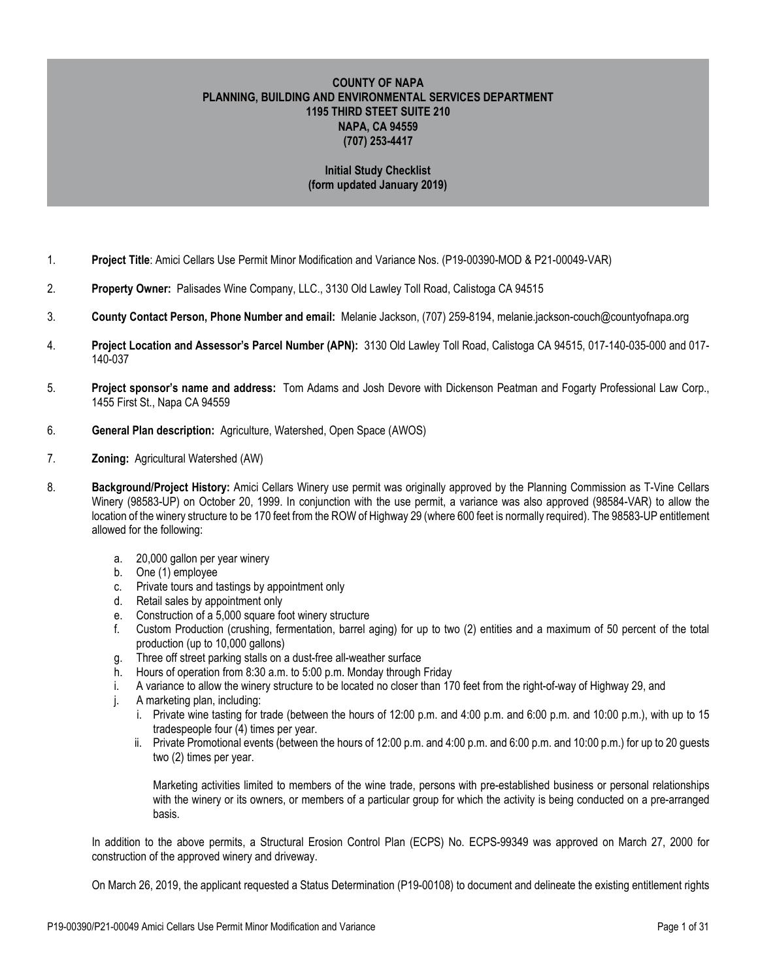# **COUNTY OF NAPA PLANNING, BUILDING AND ENVIRONMENTAL SERVICES DEPARTMENT 1195 THIRD STEET SUITE 210 NAPA, CA 94559 (707) 253-4417**

# **Initial Study Checklist (form updated January 2019)**

- 1. **Project Title**: Amici Cellars Use Permit Minor Modification and Variance Nos. (P19-00390-MOD & P21-00049-VAR)
- 2. **Property Owner:** Palisades Wine Company, LLC., 3130 Old Lawley Toll Road, Calistoga CA 94515
- 3. **County Contact Person, Phone Number and email:** Melanie Jackson, (707) 259-8194, melanie.jackson-couch@countyofnapa.org
- 4. **Project Location and Assessor's Parcel Number (APN):** 3130 Old Lawley Toll Road, Calistoga CA 94515, 017-140-035-000 and 017- 140-037
- 5. **Project sponsor's name and address:** Tom Adams and Josh Devore with Dickenson Peatman and Fogarty Professional Law Corp., 1455 First St., Napa CA 94559
- 6. **General Plan description:** Agriculture, Watershed, Open Space (AWOS)
- 7. **Zoning:** Agricultural Watershed (AW)
- 8. **Background/Project History:** Amici Cellars Winery use permit was originally approved by the Planning Commission as T-Vine Cellars Winery (98583-UP) on October 20, 1999. In conjunction with the use permit, a variance was also approved (98584-VAR) to allow the location of the winery structure to be 170 feet from the ROW of Highway 29 (where 600 feet is normally required). The 98583-UP entitlement allowed for the following:
	- a. 20,000 gallon per year winery
	- b. One (1) employee
	- c. Private tours and tastings by appointment only
	- d. Retail sales by appointment only
	- e. Construction of a 5,000 square foot winery structure
	- f. Custom Production (crushing, fermentation, barrel aging) for up to two (2) entities and a maximum of 50 percent of the total production (up to 10,000 gallons)
	- g. Three off street parking stalls on a dust-free all-weather surface
	- h. Hours of operation from 8:30 a.m. to 5:00 p.m. Monday through Friday
	- i. A variance to allow the winery structure to be located no closer than 170 feet from the right-of-way of Highway 29, and
	- j. A marketing plan, including:
		- i. Private wine tasting for trade (between the hours of 12:00 p.m. and 4:00 p.m. and 6:00 p.m. and 10:00 p.m.), with up to 15 tradespeople four (4) times per year.
		- ii. Private Promotional events (between the hours of 12:00 p.m. and 4:00 p.m. and 6:00 p.m. and 10:00 p.m.) for up to 20 guests two (2) times per year.

Marketing activities limited to members of the wine trade, persons with pre-established business or personal relationships with the winery or its owners, or members of a particular group for which the activity is being conducted on a pre-arranged basis.

In addition to the above permits, a Structural Erosion Control Plan (ECPS) No. ECPS-99349 was approved on March 27, 2000 for construction of the approved winery and driveway.

On March 26, 2019, the applicant requested a Status Determination (P19-00108) to document and delineate the existing entitlement rights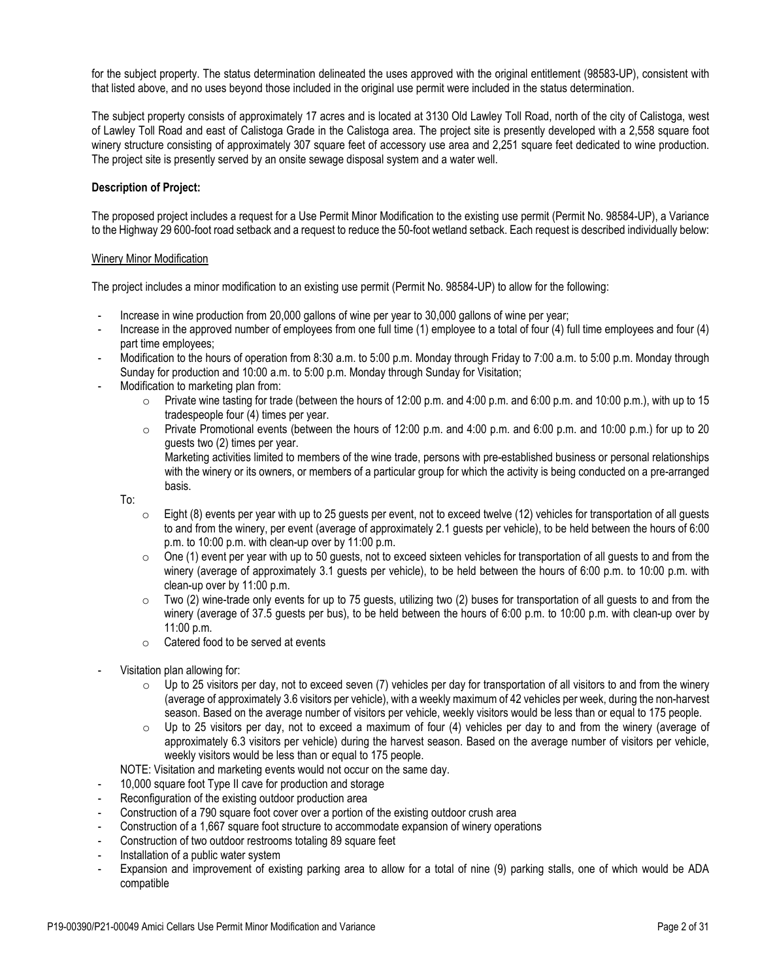for the subject property. The status determination delineated the uses approved with the original entitlement (98583-UP), consistent with that listed above, and no uses beyond those included in the original use permit were included in the status determination.

The subject property consists of approximately 17 acres and is located at 3130 Old Lawley Toll Road, north of the city of Calistoga, west of Lawley Toll Road and east of Calistoga Grade in the Calistoga area. The project site is presently developed with a 2,558 square foot winery structure consisting of approximately 307 square feet of accessory use area and 2,251 square feet dedicated to wine production. The project site is presently served by an onsite sewage disposal system and a water well.

## **Description of Project:**

The proposed project includes a request for a Use Permit Minor Modification to the existing use permit (Permit No. 98584-UP), a Variance to the Highway 29 600-foot road setback and a request to reduce the 50-foot wetland setback. Each request is described individually below:

#### Winery Minor Modification

The project includes a minor modification to an existing use permit (Permit No. 98584-UP) to allow for the following:

- Increase in wine production from 20,000 gallons of wine per year to 30,000 gallons of wine per year;
- Increase in the approved number of employees from one full time (1) employee to a total of four (4) full time employees and four (4) part time employees;
- Modification to the hours of operation from 8:30 a.m. to 5:00 p.m. Monday through Friday to 7:00 a.m. to 5:00 p.m. Monday through Sunday for production and 10:00 a.m. to 5:00 p.m. Monday through Sunday for Visitation;
- Modification to marketing plan from:
	- $\circ$  Private wine tasting for trade (between the hours of 12:00 p.m. and 4:00 p.m. and 6:00 p.m. and 10:00 p.m.), with up to 15 tradespeople four (4) times per year.
	- o Private Promotional events (between the hours of 12:00 p.m. and 4:00 p.m. and 6:00 p.m. and 10:00 p.m.) for up to 20 guests two (2) times per year.

Marketing activities limited to members of the wine trade, persons with pre-established business or personal relationships with the winery or its owners, or members of a particular group for which the activity is being conducted on a pre-arranged basis.

To:

- $\circ$  Eight (8) events per year with up to 25 guests per event, not to exceed twelve (12) vehicles for transportation of all guests to and from the winery, per event (average of approximately 2.1 guests per vehicle), to be held between the hours of 6:00 p.m. to 10:00 p.m. with clean-up over by 11:00 p.m.
- $\circ$  One (1) event per year with up to 50 guests, not to exceed sixteen vehicles for transportation of all guests to and from the winery (average of approximately 3.1 guests per vehicle), to be held between the hours of 6:00 p.m. to 10:00 p.m. with clean-up over by 11:00 p.m.
- $\circ$  Two (2) wine-trade only events for up to 75 guests, utilizing two (2) buses for transportation of all guests to and from the winery (average of 37.5 guests per bus), to be held between the hours of 6:00 p.m. to 10:00 p.m. with clean-up over by 11:00 p.m.
- o Catered food to be served at events
- Visitation plan allowing for:
	- $\circ$  Up to 25 visitors per day, not to exceed seven (7) vehicles per day for transportation of all visitors to and from the winery (average of approximately 3.6 visitors per vehicle), with a weekly maximum of 42 vehicles per week, during the non-harvest season. Based on the average number of visitors per vehicle, weekly visitors would be less than or equal to 175 people.
	- $\circ$  Up to 25 visitors per day, not to exceed a maximum of four (4) vehicles per day to and from the winery (average of approximately 6.3 visitors per vehicle) during the harvest season. Based on the average number of visitors per vehicle, weekly visitors would be less than or equal to 175 people.
	- NOTE: Visitation and marketing events would not occur on the same day.
- 10,000 square foot Type II cave for production and storage
- Reconfiguration of the existing outdoor production area
- Construction of a 790 square foot cover over a portion of the existing outdoor crush area
- Construction of a 1,667 square foot structure to accommodate expansion of winery operations
- Construction of two outdoor restrooms totaling 89 square feet
- Installation of a public water system
- Expansion and improvement of existing parking area to allow for a total of nine (9) parking stalls, one of which would be ADA compatible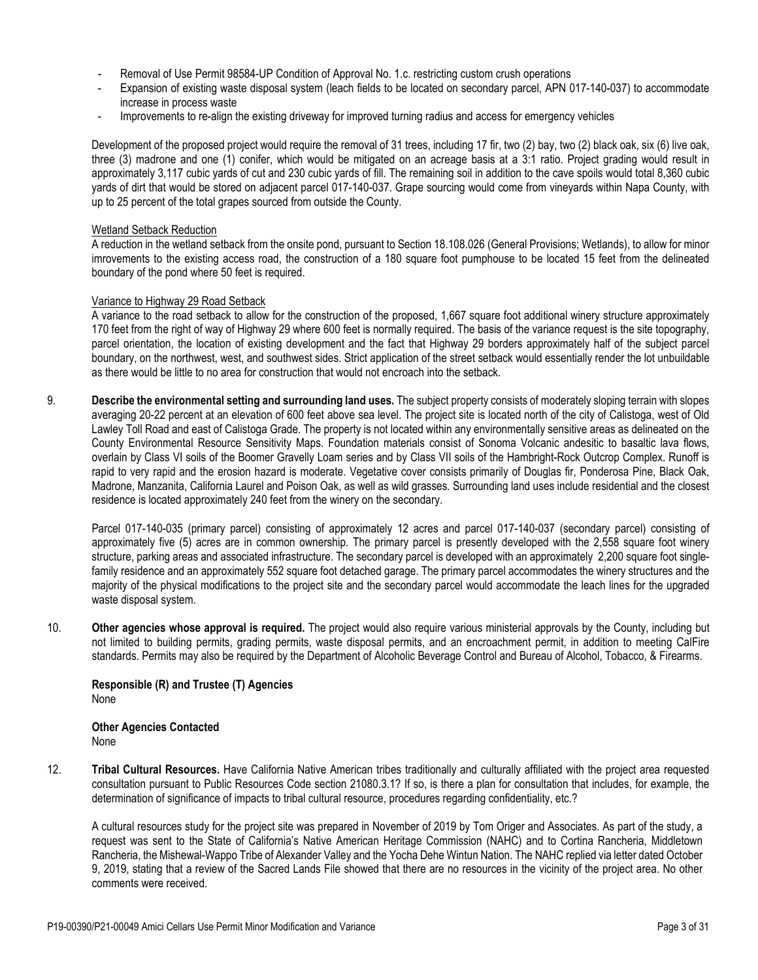- Removal of Use Permit 98584-UP Condition of Approval No. 1.c. restricting custom crush operations
- Expansion of existing waste disposal system (leach fields to be located on secondary parcel, APN 017-140-037) to accommodate increase in process waste
- Improvements to re-align the existing driveway for improved turning radius and access for emergency vehicles

Development of the proposed project would require the removal of 31 trees, including 17 fir, two (2) bay, two (2) black oak, six (6) live oak, three (3) madrone and one (1) conifer, which would be mitigated on an acreage basis at a 3:1 ratio. Project grading would result in approximately 3,117 cubic yards of cut and 230 cubic yards of fill. The remaining soil in addition to the cave spoils would total 8,360 cubic yards of dirt that would be stored on adjacent parcel 017-140-037. Grape sourcing would come from vineyards within Napa County, with up to 25 percent of the total grapes sourced from outside the County.

### Wetland Setback Reduction

A reduction in the wetland setback from the onsite pond, pursuant to Section 18.108.026 (General Provisions; Wetlands), to allow for minor imrovements to the existing access road, the construction of a 180 square foot pumphouse to be located 15 feet from the delineated boundary of the pond where 50 feet is required.

#### Variance to Highway 29 Road Setback

A variance to the road setback to allow for the construction of the proposed, 1,667 square foot additional winery structure approximately 170 feet from the right of way of Highway 29 where 600 feet is normally required. The basis of the variance request is the site topography, parcel orientation, the location of existing development and the fact that Highway 29 borders approximately half of the subject parcel boundary, on the northwest, west, and southwest sides. Strict application of the street setback would essentially render the lot unbuildable as there would be little to no area for construction that would not encroach into the setback.

9. **Describe the environmental setting and surrounding land uses.** The subject property consists of moderately sloping terrain with slopes averaging 20-22 percent at an elevation of 600 feet above sea level. The project site is located north of the city of Calistoga, west of Old Lawley Toll Road and east of Calistoga Grade. The property is not located within any environmentally sensitive areas as delineated on the County Environmental Resource Sensitivity Maps. Foundation materials consist of Sonoma Volcanic andesitic to basaltic lava flows, overlain by Class VI soils of the Boomer Gravelly Loam series and by Class VII soils of the Hambright-Rock Outcrop Complex. Runoff is rapid to very rapid and the erosion hazard is moderate. Vegetative cover consists primarily of Douglas fir, Ponderosa Pine, Black Oak, Madrone, Manzanita, California Laurel and Poison Oak, as well as wild grasses. Surrounding land uses include residential and the closest residence is located approximately 240 feet from the winery on the secondary.

Parcel 017-140-035 (primary parcel) consisting of approximately 12 acres and parcel 017-140-037 (secondary parcel) consisting of approximately five (5) acres are in common ownership. The primary parcel is presently developed with the 2,558 square foot winery structure, parking areas and associated infrastructure. The secondary parcel is developed with an approximately 2,200 square foot singlefamily residence and an approximately 552 square foot detached garage. The primary parcel accommodates the winery structures and the majority of the physical modifications to the project site and the secondary parcel would accommodate the leach lines for the upgraded waste disposal system.

10. **Other agencies whose approval is required.** The project would also require various ministerial approvals by the County, including but not limited to building permits, grading permits, waste disposal permits, and an encroachment permit, in addition to meeting CalFire standards. Permits may also be required by the Department of Alcoholic Beverage Control and Bureau of Alcohol, Tobacco, & Firearms.

### **Responsible (R) and Trustee (T) Agencies**  None

**Other Agencies Contacted** None

12. **Tribal Cultural Resources.** Have California Native American tribes traditionally and culturally affiliated with the project area requested consultation pursuant to Public Resources Code section 21080.3.1? If so, is there a plan for consultation that includes, for example, the determination of significance of impacts to tribal cultural resource, procedures regarding confidentiality, etc.?

A cultural resources study for the project site was prepared in November of 2019 by Tom Origer and Associates. As part of the study, a request was sent to the State of California's Native American Heritage Commission (NAHC) and to Cortina Rancheria, Middletown Rancheria, the Mishewal-Wappo Tribe of Alexander Valley and the Yocha Dehe Wintun Nation. The NAHC replied via letter dated October 9, 2019, stating that a review of the Sacred Lands File showed that there are no resources in the vicinity of the project area. No other comments were received.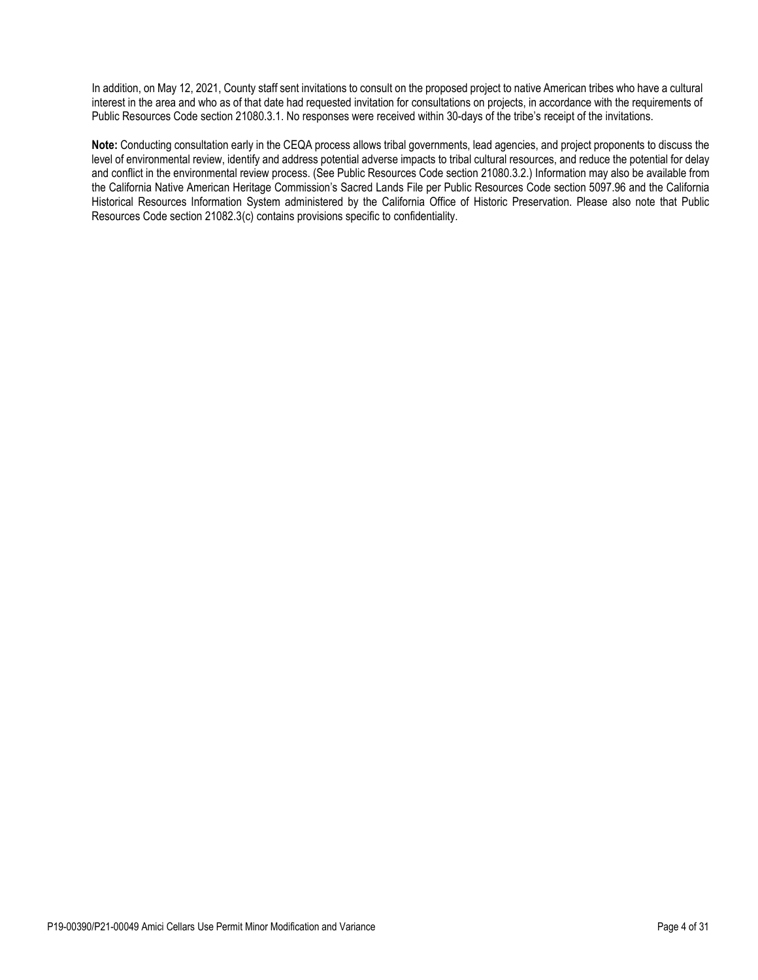In addition, on May 12, 2021, County staff sent invitations to consult on the proposed project to native American tribes who have a cultural interest in the area and who as of that date had requested invitation for consultations on projects, in accordance with the requirements of Public Resources Code section 21080.3.1. No responses were received within 30-days of the tribe's receipt of the invitations.

**Note:** Conducting consultation early in the CEQA process allows tribal governments, lead agencies, and project proponents to discuss the level of environmental review, identify and address potential adverse impacts to tribal cultural resources, and reduce the potential for delay and conflict in the environmental review process. (See Public Resources Code section 21080.3.2.) Information may also be available from the California Native American Heritage Commission's Sacred Lands File per Public Resources Code section 5097.96 and the California Historical Resources Information System administered by the California Office of Historic Preservation. Please also note that Public Resources Code section 21082.3(c) contains provisions specific to confidentiality.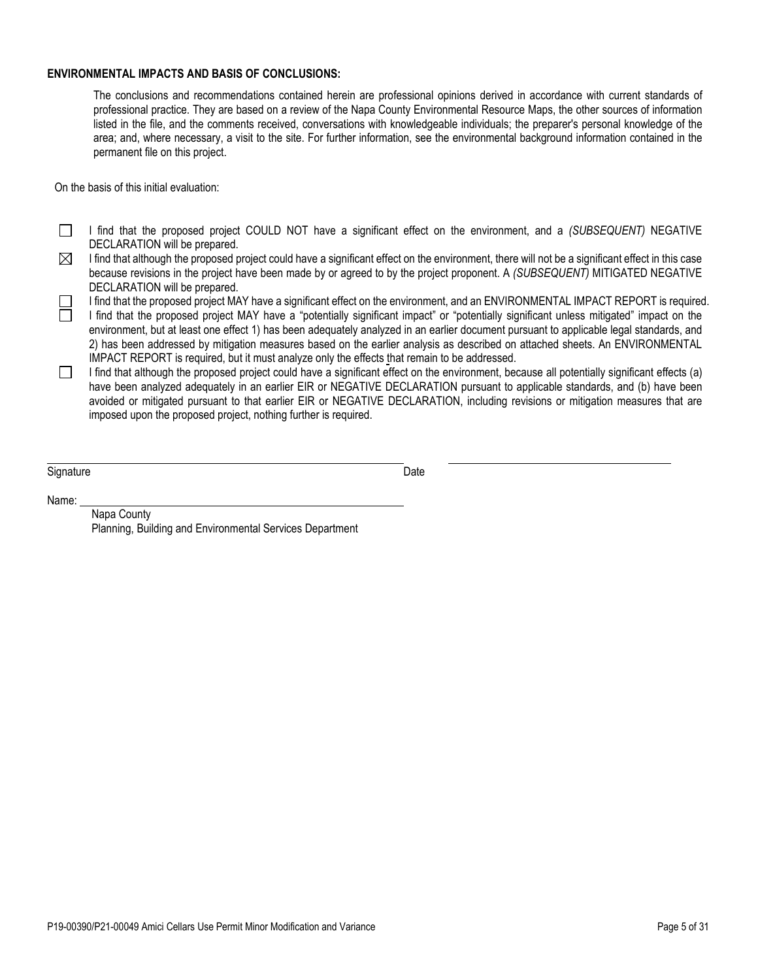### **ENVIRONMENTAL IMPACTS AND BASIS OF CONCLUSIONS:**

The conclusions and recommendations contained herein are professional opinions derived in accordance with current standards of professional practice. They are based on a review of the Napa County Environmental Resource Maps, the other sources of information listed in the file, and the comments received, conversations with knowledgeable individuals; the preparer's personal knowledge of the area; and, where necessary, a visit to the site. For further information, see the environmental background information contained in the permanent file on this project.

On the basis of this initial evaluation:

 $\Box$ I find that the proposed project COULD NOT have a significant effect on the environment, and a *(SUBSEQUENT)* NEGATIVE DECLARATION will be prepared.

 $\boxtimes$ I find that although the proposed project could have a significant effect on the environment, there will not be a significant effect in this case because revisions in the project have been made by or agreed to by the project proponent. A *(SUBSEQUENT)* MITIGATED NEGATIVE DECLARATION will be prepared.

I find that the proposed project MAY have a significant effect on the environment, and an ENVIRONMENTAL IMPACT REPORT is required.

I find that the proposed project MAY have a "potentially significant impact" or "potentially significant unless mitigated" impact on the environment, but at least one effect 1) has been adequately analyzed in an earlier document pursuant to applicable legal standards, and 2) has been addressed by mitigation measures based on the earlier analysis as described on attached sheets. An ENVIRONMENTAL IMPACT REPORT is required, but it must analyze only the effects that remain to be addressed.

I find that although the proposed project could have a significant effect on the environment, because all potentially significant effects (a)  $\Box$ have been analyzed adequately in an earlier EIR or NEGATIVE DECLARATION pursuant to applicable standards, and (b) have been avoided or mitigated pursuant to that earlier EIR or NEGATIVE DECLARATION, including revisions or mitigation measures that are imposed upon the proposed project, nothing further is required.

Signature Date

Name:

### Napa County Planning, Building and Environmental Services Department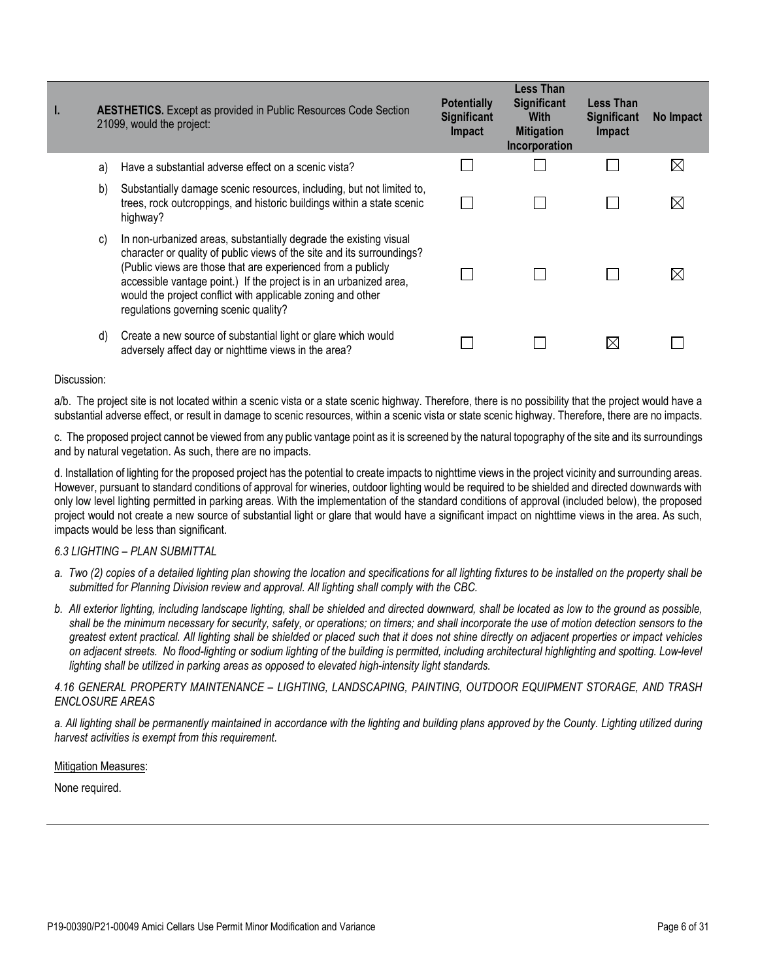| I. | <b>AESTHETICS.</b> Except as provided in Public Resources Code Section<br>21099, would the project: |                                                                                                                                                                                                                                                                                                                                                                                           | <b>Potentially</b><br><b>Significant</b><br>Impact | Less Than<br>Significant<br><b>With</b><br><b>Mitigation</b><br>Incorporation | <b>Less Than</b><br><b>Significant</b><br>Impact | No Impact   |
|----|-----------------------------------------------------------------------------------------------------|-------------------------------------------------------------------------------------------------------------------------------------------------------------------------------------------------------------------------------------------------------------------------------------------------------------------------------------------------------------------------------------------|----------------------------------------------------|-------------------------------------------------------------------------------|--------------------------------------------------|-------------|
|    | a)                                                                                                  | Have a substantial adverse effect on a scenic vista?                                                                                                                                                                                                                                                                                                                                      |                                                    |                                                                               |                                                  | $\boxtimes$ |
|    | b)                                                                                                  | Substantially damage scenic resources, including, but not limited to,<br>trees, rock outcroppings, and historic buildings within a state scenic<br>highway?                                                                                                                                                                                                                               |                                                    |                                                                               |                                                  | ⊠           |
|    | C)                                                                                                  | In non-urbanized areas, substantially degrade the existing visual<br>character or quality of public views of the site and its surroundings?<br>(Public views are those that are experienced from a publicly<br>accessible vantage point.) If the project is in an urbanized area,<br>would the project conflict with applicable zoning and other<br>regulations governing scenic quality? |                                                    |                                                                               |                                                  | ⋉           |
|    | d)                                                                                                  | Create a new source of substantial light or glare which would<br>adversely affect day or nighttime views in the area?                                                                                                                                                                                                                                                                     |                                                    |                                                                               | $\boxtimes$                                      |             |

a/b. The project site is not located within a scenic vista or a state scenic highway. Therefore, there is no possibility that the project would have a substantial adverse effect, or result in damage to scenic resources, within a scenic vista or state scenic highway. Therefore, there are no impacts.

c. The proposed project cannot be viewed from any public vantage point as it is screened by the natural topography of the site and its surroundings and by natural vegetation. As such, there are no impacts.

d. Installation of lighting for the proposed project has the potential to create impacts to nighttime views in the project vicinity and surrounding areas. However, pursuant to standard conditions of approval for wineries, outdoor lighting would be required to be shielded and directed downwards with only low level lighting permitted in parking areas. With the implementation of the standard conditions of approval (included below), the proposed project would not create a new source of substantial light or glare that would have a significant impact on nighttime views in the area. As such, impacts would be less than significant.

## *6.3 LIGHTING – PLAN SUBMITTAL*

- a. Two (2) copies of a detailed lighting plan showing the location and specifications for all lighting fixtures to be installed on the property shall be *submitted for Planning Division review and approval. All lighting shall comply with the CBC.*
- *b. All exterior lighting, including landscape lighting, shall be shielded and directed downward, shall be located as low to the ground as possible, shall be the minimum necessary for security, safety, or operations; on timers; and shall incorporate the use of motion detection sensors to the greatest extent practical. All lighting shall be shielded or placed such that it does not shine directly on adjacent properties or impact vehicles on adjacent streets. No flood-lighting or sodium lighting of the building is permitted, including architectural highlighting and spotting. Low-level lighting shall be utilized in parking areas as opposed to elevated high-intensity light standards.*

# *4.16 GENERAL PROPERTY MAINTENANCE – LIGHTING, LANDSCAPING, PAINTING, OUTDOOR EQUIPMENT STORAGE, AND TRASH ENCLOSURE AREAS*

a. All lighting shall be permanently maintained in accordance with the lighting and building plans approved by the County. Lighting utilized during *harvest activities is exempt from this requirement.* 

#### Mitigation Measures: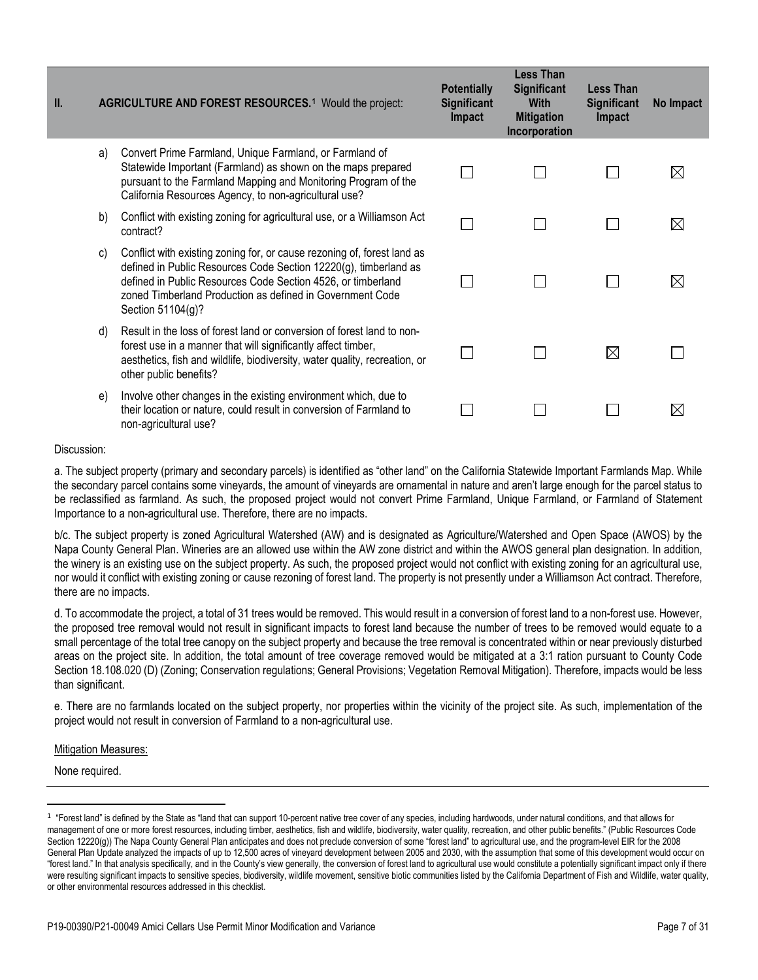| II. | <b>AGRICULTURE AND FOREST RESOURCES.<sup>1</sup></b> Would the project: |                                                                                                                                                                                                                                                                                               | <b>Potentially</b><br><b>Significant</b><br>Impact | <b>Less Than</b><br><b>Significant</b><br><b>With</b><br><b>Mitigation</b><br>Incorporation | <b>Less Than</b><br><b>Significant</b><br>Impact | No Impact   |
|-----|-------------------------------------------------------------------------|-----------------------------------------------------------------------------------------------------------------------------------------------------------------------------------------------------------------------------------------------------------------------------------------------|----------------------------------------------------|---------------------------------------------------------------------------------------------|--------------------------------------------------|-------------|
|     | a)                                                                      | Convert Prime Farmland, Unique Farmland, or Farmland of<br>Statewide Important (Farmland) as shown on the maps prepared<br>pursuant to the Farmland Mapping and Monitoring Program of the<br>California Resources Agency, to non-agricultural use?                                            |                                                    |                                                                                             |                                                  | $\boxtimes$ |
|     | b)                                                                      | Conflict with existing zoning for agricultural use, or a Williamson Act<br>contract?                                                                                                                                                                                                          |                                                    |                                                                                             |                                                  | $\boxtimes$ |
|     | C)                                                                      | Conflict with existing zoning for, or cause rezoning of, forest land as<br>defined in Public Resources Code Section 12220(g), timberland as<br>defined in Public Resources Code Section 4526, or timberland<br>zoned Timberland Production as defined in Government Code<br>Section 51104(g)? |                                                    |                                                                                             |                                                  | $\boxtimes$ |
|     | d)                                                                      | Result in the loss of forest land or conversion of forest land to non-<br>forest use in a manner that will significantly affect timber,<br>aesthetics, fish and wildlife, biodiversity, water quality, recreation, or<br>other public benefits?                                               |                                                    |                                                                                             | $\boxtimes$                                      |             |
|     | e)                                                                      | Involve other changes in the existing environment which, due to<br>their location or nature, could result in conversion of Farmland to<br>non-agricultural use?                                                                                                                               |                                                    |                                                                                             |                                                  | $\boxtimes$ |

a. The subject property (primary and secondary parcels) is identified as "other land" on the California Statewide Important Farmlands Map. While the secondary parcel contains some vineyards, the amount of vineyards are ornamental in nature and aren't large enough for the parcel status to be reclassified as farmland. As such, the proposed project would not convert Prime Farmland, Unique Farmland, or Farmland of Statement Importance to a non-agricultural use. Therefore, there are no impacts.

b/c. The subject property is zoned Agricultural Watershed (AW) and is designated as Agriculture/Watershed and Open Space (AWOS) by the Napa County General Plan. Wineries are an allowed use within the AW zone district and within the AWOS general plan designation. In addition, the winery is an existing use on the subject property. As such, the proposed project would not conflict with existing zoning for an agricultural use, nor would it conflict with existing zoning or cause rezoning of forest land. The property is not presently under a Williamson Act contract. Therefore, there are no impacts.

d. To accommodate the project, a total of 31 trees would be removed. This would result in a conversion of forest land to a non-forest use. However, the proposed tree removal would not result in significant impacts to forest land because the number of trees to be removed would equate to a small percentage of the total tree canopy on the subject property and because the tree removal is concentrated within or near previously disturbed areas on the project site. In addition, the total amount of tree coverage removed would be mitigated at a 3:1 ration pursuant to County Code Section 18.108.020 (D) (Zoning; Conservation regulations; General Provisions; Vegetation Removal Mitigation). Therefore, impacts would be less than significant.

e. There are no farmlands located on the subject property, nor properties within the vicinity of the project site. As such, implementation of the project would not result in conversion of Farmland to a non-agricultural use.

### **Mitigation Measures:**

<span id="page-6-0"></span><sup>&</sup>lt;sup>1</sup> "Forest land" is defined by the State as "land that can support 10-percent native tree cover of any species, including hardwoods, under natural conditions, and that allows for management of one or more forest resources, including timber, aesthetics, fish and wildlife, biodiversity, water quality, recreation, and other public benefits." (Public Resources Code Section 12220(g)) The Napa County General Plan anticipates and does not preclude conversion of some "forest land" to agricultural use, and the program-level EIR for the 2008 General Plan Update analyzed the impacts of up to 12,500 acres of vineyard development between 2005 and 2030, with the assumption that some of this development would occur on "forest land." In that analysis specifically, and in the County's view generally, the conversion of forest land to agricultural use would constitute a potentially significant impact only if there were resulting significant impacts to sensitive species, biodiversity, wildlife movement, sensitive biotic communities listed by the California Department of Fish and Wildlife, water quality, or other environmental resources addressed in this checklist.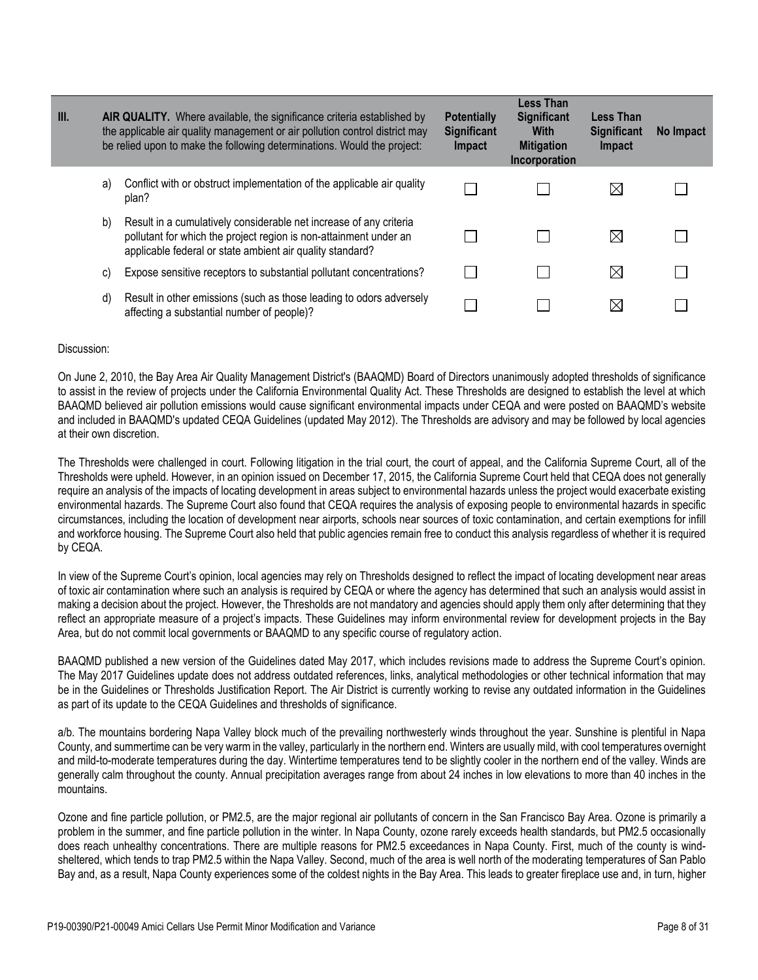| III. | AIR QUALITY. Where available, the significance criteria established by<br>the applicable air quality management or air pollution control district may<br>be relied upon to make the following determinations. Would the project: |                                                                                                                                                                                                      | <b>Potentially</b><br><b>Significant</b><br><b>Impact</b> | <b>Less Than</b><br><b>Significant</b><br><b>With</b><br><b>Mitigation</b><br>Incorporation | <b>Less Than</b><br><b>Significant</b><br>Impact | No Impact |
|------|----------------------------------------------------------------------------------------------------------------------------------------------------------------------------------------------------------------------------------|------------------------------------------------------------------------------------------------------------------------------------------------------------------------------------------------------|-----------------------------------------------------------|---------------------------------------------------------------------------------------------|--------------------------------------------------|-----------|
|      | a)                                                                                                                                                                                                                               | Conflict with or obstruct implementation of the applicable air quality<br>plan?                                                                                                                      |                                                           |                                                                                             | $\boxtimes$                                      |           |
|      | b)                                                                                                                                                                                                                               | Result in a cumulatively considerable net increase of any criteria<br>pollutant for which the project region is non-attainment under an<br>applicable federal or state ambient air quality standard? |                                                           |                                                                                             | $\boxtimes$                                      |           |
|      | C)                                                                                                                                                                                                                               | Expose sensitive receptors to substantial pollutant concentrations?                                                                                                                                  |                                                           |                                                                                             | $\boxtimes$                                      |           |
|      | d)                                                                                                                                                                                                                               | Result in other emissions (such as those leading to odors adversely<br>affecting a substantial number of people)?                                                                                    |                                                           |                                                                                             | $\boxtimes$                                      |           |

On June 2, 2010, the Bay Area Air Quality Management District's (BAAQMD) Board of Directors unanimously adopted thresholds of significance to assist in the review of projects under the California Environmental Quality Act. These Thresholds are designed to establish the level at which BAAQMD believed air pollution emissions would cause significant environmental impacts under CEQA and were posted on BAAQMD's website and included in BAAQMD's updated CEQA Guidelines (updated May 2012). The Thresholds are advisory and may be followed by local agencies at their own discretion.

The Thresholds were challenged in court. Following litigation in the trial court, the court of appeal, and the California Supreme Court, all of the Thresholds were upheld. However, in an opinion issued on December 17, 2015, the California Supreme Court held that CEQA does not generally require an analysis of the impacts of locating development in areas subject to environmental hazards unless the project would exacerbate existing environmental hazards. The Supreme Court also found that CEQA requires the analysis of exposing people to environmental hazards in specific circumstances, including the location of development near airports, schools near sources of toxic contamination, and certain exemptions for infill and workforce housing. The Supreme Court also held that public agencies remain free to conduct this analysis regardless of whether it is required by CEQA.

In view of the Supreme Court's opinion, local agencies may rely on Thresholds designed to reflect the impact of locating development near areas of toxic air contamination where such an analysis is required by CEQA or where the agency has determined that such an analysis would assist in making a decision about the project. However, the Thresholds are not mandatory and agencies should apply them only after determining that they reflect an appropriate measure of a project's impacts. These Guidelines may inform environmental review for development projects in the Bay Area, but do not commit local governments or BAAQMD to any specific course of regulatory action.

BAAQMD published a new version of the Guidelines dated May 2017, which includes revisions made to address the Supreme Court's opinion. The May 2017 Guidelines update does not address outdated references, links, analytical methodologies or other technical information that may be in the Guidelines or Thresholds Justification Report. The Air District is currently working to revise any outdated information in the Guidelines as part of its update to the CEQA Guidelines and thresholds of significance.

a/b. The mountains bordering Napa Valley block much of the prevailing northwesterly winds throughout the year. Sunshine is plentiful in Napa County, and summertime can be very warm in the valley, particularly in the northern end. Winters are usually mild, with cool temperatures overnight and mild-to-moderate temperatures during the day. Wintertime temperatures tend to be slightly cooler in the northern end of the valley. Winds are generally calm throughout the county. Annual precipitation averages range from about 24 inches in low elevations to more than 40 inches in the mountains.

Ozone and fine particle pollution, or PM2.5, are the major regional air pollutants of concern in the San Francisco Bay Area. Ozone is primarily a problem in the summer, and fine particle pollution in the winter. In Napa County, ozone rarely exceeds health standards, but PM2.5 occasionally does reach unhealthy concentrations. There are multiple reasons for PM2.5 exceedances in Napa County. First, much of the county is windsheltered, which tends to trap PM2.5 within the Napa Valley. Second, much of the area is well north of the moderating temperatures of San Pablo Bay and, as a result, Napa County experiences some of the coldest nights in the Bay Area. This leads to greater fireplace use and, in turn, higher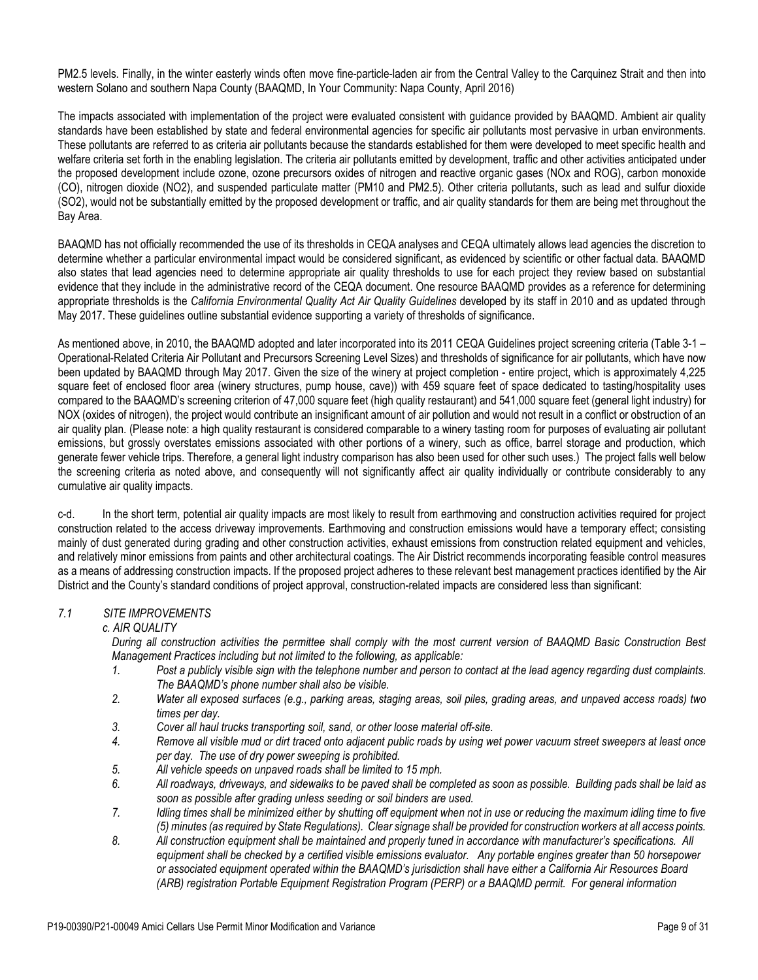PM2.5 levels. Finally, in the winter easterly winds often move fine-particle-laden air from the Central Valley to the Carquinez Strait and then into western Solano and southern Napa County (BAAQMD, In Your Community: Napa County, April 2016)

The impacts associated with implementation of the project were evaluated consistent with guidance provided by BAAQMD. Ambient air quality standards have been established by state and federal environmental agencies for specific air pollutants most pervasive in urban environments. These pollutants are referred to as criteria air pollutants because the standards established for them were developed to meet specific health and welfare criteria set forth in the enabling legislation. The criteria air pollutants emitted by development, traffic and other activities anticipated under the proposed development include ozone, ozone precursors oxides of nitrogen and reactive organic gases (NOx and ROG), carbon monoxide (CO), nitrogen dioxide (NO2), and suspended particulate matter (PM10 and PM2.5). Other criteria pollutants, such as lead and sulfur dioxide (SO2), would not be substantially emitted by the proposed development or traffic, and air quality standards for them are being met throughout the Bay Area.

BAAQMD has not officially recommended the use of its thresholds in CEQA analyses and CEQA ultimately allows lead agencies the discretion to determine whether a particular environmental impact would be considered significant, as evidenced by scientific or other factual data. BAAQMD also states that lead agencies need to determine appropriate air quality thresholds to use for each project they review based on substantial evidence that they include in the administrative record of the CEQA document. One resource BAAQMD provides as a reference for determining appropriate thresholds is the *California Environmental Quality Act Air Quality Guidelines* developed by its staff in 2010 and as updated through May 2017. These guidelines outline substantial evidence supporting a variety of thresholds of significance.

As mentioned above, in 2010, the BAAQMD adopted and later incorporated into its 2011 CEQA Guidelines project screening criteria (Table 3-1 – Operational-Related Criteria Air Pollutant and Precursors Screening Level Sizes) and thresholds of significance for air pollutants, which have now been updated by BAAQMD through May 2017. Given the size of the winery at project completion - entire project, which is approximately 4,225 square feet of enclosed floor area (winery structures, pump house, cave)) with 459 square feet of space dedicated to tasting/hospitality uses compared to the BAAQMD's screening criterion of 47,000 square feet (high quality restaurant) and 541,000 square feet (general light industry) for NOX (oxides of nitrogen), the project would contribute an insignificant amount of air pollution and would not result in a conflict or obstruction of an air quality plan. (Please note: a high quality restaurant is considered comparable to a winery tasting room for purposes of evaluating air pollutant emissions, but grossly overstates emissions associated with other portions of a winery, such as office, barrel storage and production, which generate fewer vehicle trips. Therefore, a general light industry comparison has also been used for other such uses.) The project falls well below the screening criteria as noted above, and consequently will not significantly affect air quality individually or contribute considerably to any cumulative air quality impacts.

c-d. In the short term, potential air quality impacts are most likely to result from earthmoving and construction activities required for project construction related to the access driveway improvements. Earthmoving and construction emissions would have a temporary effect; consisting mainly of dust generated during grading and other construction activities, exhaust emissions from construction related equipment and vehicles, and relatively minor emissions from paints and other architectural coatings. The Air District recommends incorporating feasible control measures as a means of addressing construction impacts. If the proposed project adheres to these relevant best management practices identified by the Air District and the County's standard conditions of project approval, construction-related impacts are considered less than significant:

# *7.1 SITE IMPROVEMENTS*

## *c. AIR QUALITY*

*During all construction activities the permittee shall comply with the most current version of BAAQMD Basic Construction Best Management Practices including but not limited to the following, as applicable:*

- *1. Post a publicly visible sign with the telephone number and person to contact at the lead agency regarding dust complaints. The BAAQMD's phone number shall also be visible.*
- *2. Water all exposed surfaces (e.g., parking areas, staging areas, soil piles, grading areas, and unpaved access roads) two times per day.*
- *3. Cover all haul trucks transporting soil, sand, or other loose material off-site.*
- *4. Remove all visible mud or dirt traced onto adjacent public roads by using wet power vacuum street sweepers at least once per day. The use of dry power sweeping is prohibited.*
- *5. All vehicle speeds on unpaved roads shall be limited to 15 mph.*
- *6. All roadways, driveways, and sidewalks to be paved shall be completed as soon as possible. Building pads shall be laid as soon as possible after grading unless seeding or soil binders are used.*
- *7. Idling times shall be minimized either by shutting off equipment when not in use or reducing the maximum idling time to five (5) minutes (as required by State Regulations). Clear signage shall be provided for construction workers at all access points.*
- *8. All construction equipment shall be maintained and properly tuned in accordance with manufacturer's specifications. All equipment shall be checked by a certified visible emissions evaluator. Any portable engines greater than 50 horsepower or associated equipment operated within the BAAQMD's jurisdiction shall have either a California Air Resources Board (ARB) registration Portable Equipment Registration Program (PERP) or a BAAQMD permit. For general information*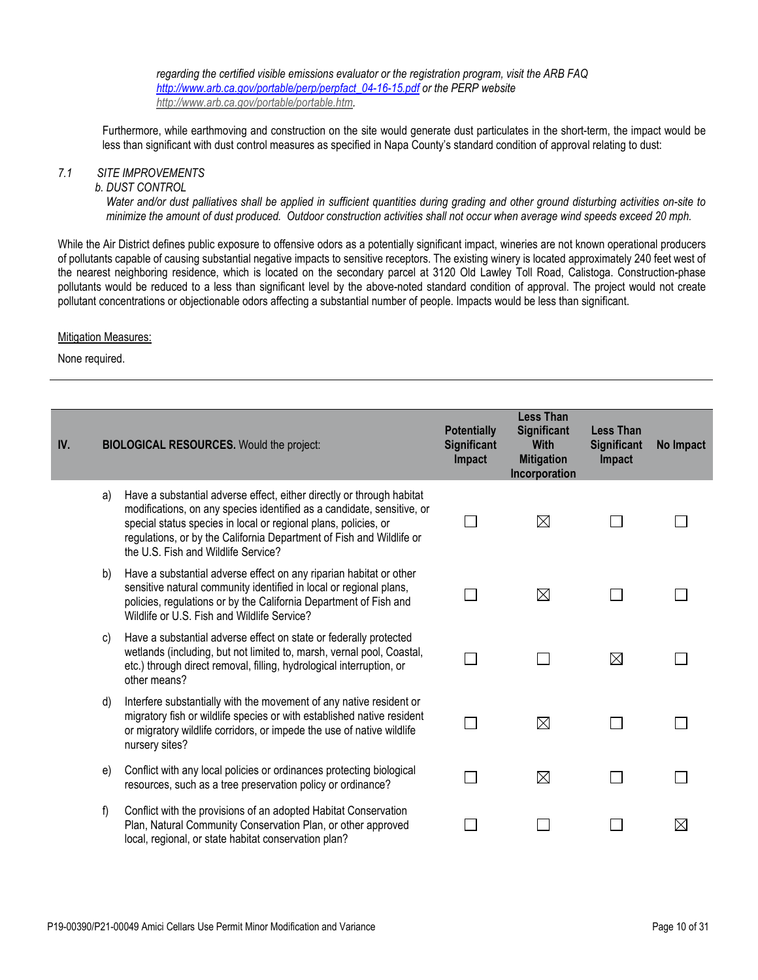*regarding the certified visible emissions evaluator or the registration program, visit the ARB FAQ [http://www.arb.ca.gov/portable/perp/perpfact\\_04-16-15.pdf](http://www.arb.ca.gov/portable/perp/perpfact_04-16-15.pdf) or the PERP website [http://www.arb.ca.gov/portable/portable.htm.](http://www.arb.ca.gov/portable/portable.htm)*

Furthermore, while earthmoving and construction on the site would generate dust particulates in the short-term, the impact would be less than significant with dust control measures as specified in Napa County's standard condition of approval relating to dust:

# *7.1 SITE IMPROVEMENTS*

*b. DUST CONTROL*

*Water and/or dust palliatives shall be applied in sufficient quantities during grading and other ground disturbing activities on-site to minimize the amount of dust produced. Outdoor construction activities shall not occur when average wind speeds exceed 20 mph.*

While the Air District defines public exposure to offensive odors as a potentially significant impact, wineries are not known operational producers of pollutants capable of causing substantial negative impacts to sensitive receptors. The existing winery is located approximately 240 feet west of the nearest neighboring residence, which is located on the secondary parcel at 3120 Old Lawley Toll Road, Calistoga. Construction-phase pollutants would be reduced to a less than significant level by the above-noted standard condition of approval. The project would not create pollutant concentrations or objectionable odors affecting a substantial number of people. Impacts would be less than significant.

#### Mitigation Measures:

| IV. |    | <b>BIOLOGICAL RESOURCES.</b> Would the project:                                                                                                                                                                                                                                                                                   | <b>Potentially</b><br><b>Significant</b><br>Impact | <b>Less Than</b><br><b>Significant</b><br><b>With</b><br><b>Mitigation</b><br>Incorporation | <b>Less Than</b><br><b>Significant</b><br>Impact | No Impact   |
|-----|----|-----------------------------------------------------------------------------------------------------------------------------------------------------------------------------------------------------------------------------------------------------------------------------------------------------------------------------------|----------------------------------------------------|---------------------------------------------------------------------------------------------|--------------------------------------------------|-------------|
|     | a) | Have a substantial adverse effect, either directly or through habitat<br>modifications, on any species identified as a candidate, sensitive, or<br>special status species in local or regional plans, policies, or<br>regulations, or by the California Department of Fish and Wildlife or<br>the U.S. Fish and Wildlife Service? |                                                    | $\boxtimes$                                                                                 |                                                  |             |
|     | b) | Have a substantial adverse effect on any riparian habitat or other<br>sensitive natural community identified in local or regional plans,<br>policies, regulations or by the California Department of Fish and<br>Wildlife or U.S. Fish and Wildlife Service?                                                                      |                                                    | $\boxtimes$                                                                                 |                                                  |             |
|     | C) | Have a substantial adverse effect on state or federally protected<br>wetlands (including, but not limited to, marsh, vernal pool, Coastal,<br>etc.) through direct removal, filling, hydrological interruption, or<br>other means?                                                                                                |                                                    |                                                                                             | $\boxtimes$                                      |             |
|     | d) | Interfere substantially with the movement of any native resident or<br>migratory fish or wildlife species or with established native resident<br>or migratory wildlife corridors, or impede the use of native wildlife<br>nursery sites?                                                                                          |                                                    | $\boxtimes$                                                                                 | $\mathbb{R}^n$                                   |             |
|     | e) | Conflict with any local policies or ordinances protecting biological<br>resources, such as a tree preservation policy or ordinance?                                                                                                                                                                                               |                                                    | $\boxtimes$                                                                                 | <b>Tara</b>                                      |             |
|     | f) | Conflict with the provisions of an adopted Habitat Conservation<br>Plan, Natural Community Conservation Plan, or other approved<br>local, regional, or state habitat conservation plan?                                                                                                                                           |                                                    |                                                                                             |                                                  | $\boxtimes$ |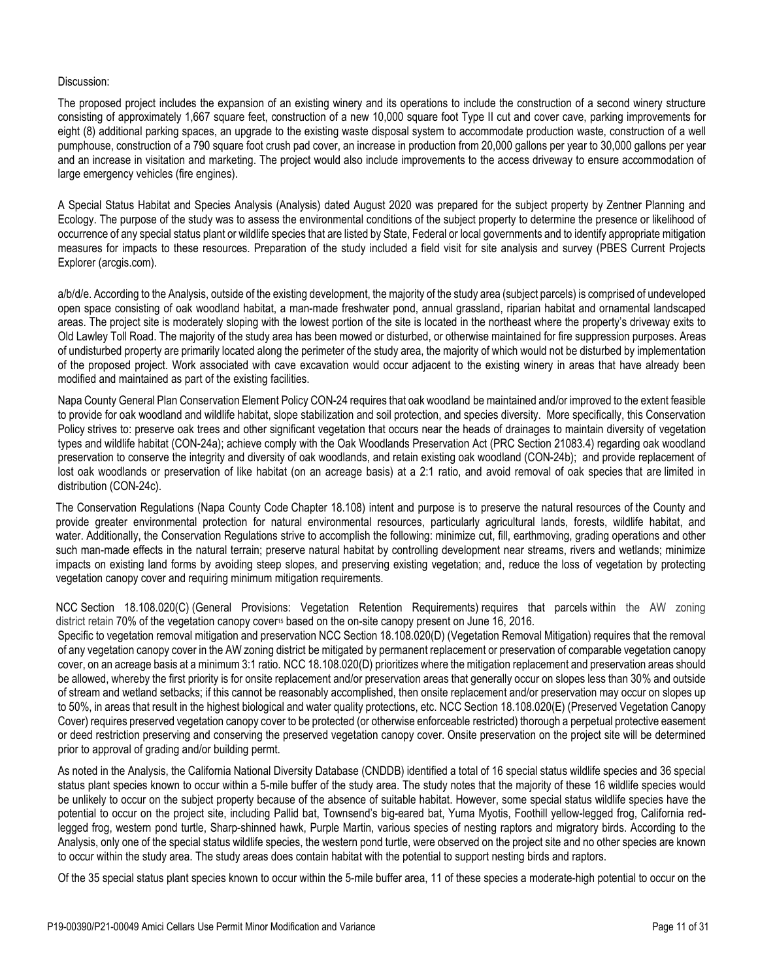The proposed project includes the expansion of an existing winery and its operations to include the construction of a second winery structure consisting of approximately 1,667 square feet, construction of a new 10,000 square foot Type II cut and cover cave, parking improvements for eight (8) additional parking spaces, an upgrade to the existing waste disposal system to accommodate production waste, construction of a well pumphouse, construction of a 790 square foot crush pad cover, an increase in production from 20,000 gallons per year to 30,000 gallons per year and an increase in visitation and marketing. The project would also include improvements to the access driveway to ensure accommodation of large emergency vehicles (fire engines).

A Special Status Habitat and Species Analysis (Analysis) dated August 2020 was prepared for the subject property by Zentner Planning and Ecology. The purpose of the study was to assess the environmental conditions of the subject property to determine the presence or likelihood of occurrence of any special status plant or wildlife species that are listed by State, Federal or local governments and to identify appropriate mitigation measures for impacts to these resources. Preparation of the study included a field visit for site analysis and survey [\(PBES Current Projects](https://experience.arcgis.com/experience/e689ed72576041f2ad40b3e8c0f25206/?data_id=dataSource_1-Current_PBES_Projects_Public_8744_6690%3A289)  [Explorer \(arcgis.com\).](https://experience.arcgis.com/experience/e689ed72576041f2ad40b3e8c0f25206/?data_id=dataSource_1-Current_PBES_Projects_Public_8744_6690%3A289)

a/b/d/e. According to the Analysis, outside of the existing development, the majority of the study area (subject parcels) is comprised of undeveloped open space consisting of oak woodland habitat, a man-made freshwater pond, annual grassland, riparian habitat and ornamental landscaped areas. The project site is moderately sloping with the lowest portion of the site is located in the northeast where the property's driveway exits to Old Lawley Toll Road. The majority of the study area has been mowed or disturbed, or otherwise maintained for fire suppression purposes. Areas of undisturbed property are primarily located along the perimeter of the study area, the majority of which would not be disturbed by implementation of the proposed project. Work associated with cave excavation would occur adjacent to the existing winery in areas that have already been modified and maintained as part of the existing facilities.

Napa County General Plan Conservation Element Policy CON-24 requires that oak woodland be maintained and/or improved to the extent feasible to provide for oak woodland and wildlife habitat, slope stabilization and soil protection, and species diversity. More specifically, this Conservation Policy strives to: preserve oak trees and other significant vegetation that occurs near the heads of drainages to maintain diversity of vegetation types and wildlife habitat (CON-24a); achieve comply with the Oak Woodlands Preservation Act (PRC Section 21083.4) regarding oak woodland preservation to conserve the integrity and diversity of oak woodlands, and retain existing oak woodland (CON-24b); and provide replacement of lost oak woodlands or preservation of like habitat (on an acreage basis) at a 2:1 ratio, and avoid removal of oak species that are limited in distribution (CON-24c).

The Conservation Regulations (Napa County Code Chapter 18.108) intent and purpose is to preserve the natural resources of the County and provide greater environmental protection for natural environmental resources, particularly agricultural lands, forests, wildlife habitat, and water. Additionally, the Conservation Regulations strive to accomplish the following: minimize cut, fill, earthmoving, grading operations and other such man-made effects in the natural terrain; preserve natural habitat by controlling development near streams, rivers and wetlands; minimize impacts on existing land forms by avoiding steep slopes, and preserving existing vegetation; and, reduce the loss of vegetation by protecting vegetation canopy cover and requiring minimum mitigation requirements.

NCC Section 18.108.020(C) (General Provisions: Vegetation Retention Requirements) requires that parcels within the AW zoning district retain 70% of the vegetation canopy cover<sup>15</sup> based on the on-site canopy present on June 16, 2016.

Specific to vegetation removal mitigation and preservation NCC Section 18.108.020(D) (Vegetation Removal Mitigation) requires that the removal of any vegetation canopy cover in the AW zoning district be mitigated by permanent replacement or preservation of comparable vegetation canopy cover, on an acreage basis at a minimum 3:1 ratio. NCC 18.108.020(D) prioritizes where the mitigation replacement and preservation areas should be allowed, whereby the first priority is for onsite replacement and/or preservation areas that generally occur on slopes less than 30% and outside of stream and wetland setbacks; if this cannot be reasonably accomplished, then onsite replacement and/or preservation may occur on slopes up to 50%, in areas that result in the highest biological and water quality protections, etc. NCC Section 18.108.020(E) (Preserved Vegetation Canopy Cover) requires preserved vegetation canopy cover to be protected (or otherwise enforceable restricted) thorough a perpetual protective easement or deed restriction preserving and conserving the preserved vegetation canopy cover. Onsite preservation on the project site will be determined prior to approval of grading and/or building permt.

As noted in the Analysis, the California National Diversity Database (CNDDB) identified a total of 16 special status wildlife species and 36 special status plant species known to occur within a 5-mile buffer of the study area. The study notes that the majority of these 16 wildlife species would be unlikely to occur on the subject property because of the absence of suitable habitat. However, some special status wildlife species have the potential to occur on the project site, including Pallid bat, Townsend's big-eared bat, Yuma Myotis, Foothill yellow-legged frog, California redlegged frog, western pond turtle, Sharp-shinned hawk, Purple Martin, various species of nesting raptors and migratory birds. According to the Analysis, only one of the special status wildlife species, the western pond turtle, were observed on the project site and no other species are known to occur within the study area. The study areas does contain habitat with the potential to support nesting birds and raptors.

Of the 35 special status plant species known to occur within the 5-mile buffer area, 11 of these species a moderate-high potential to occur on the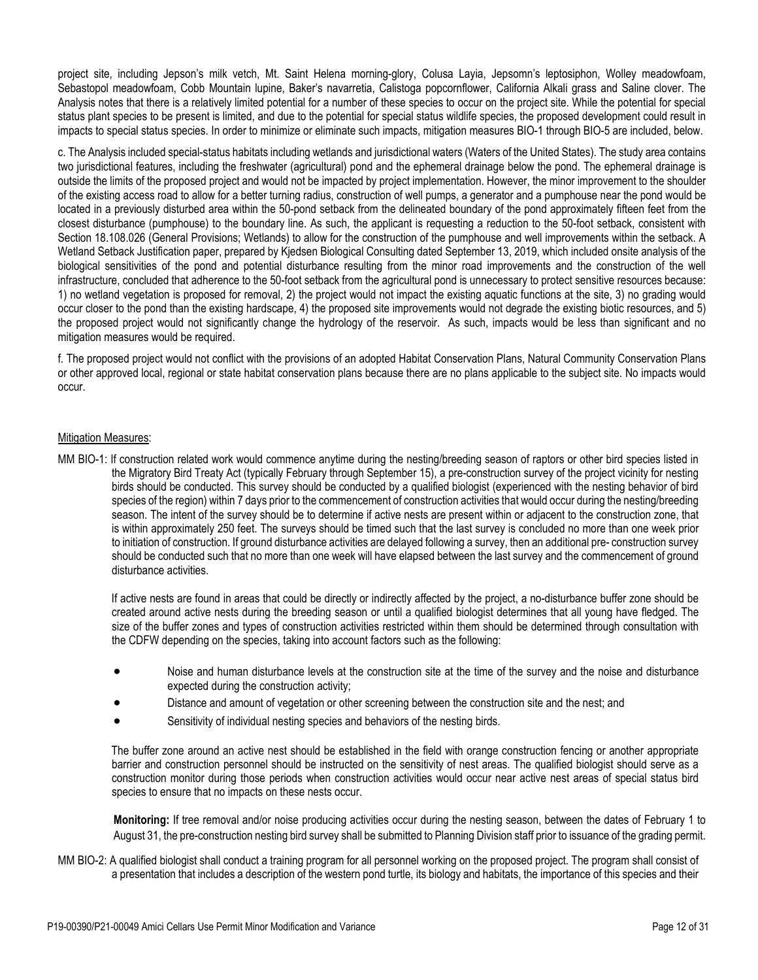project site, including Jepson's milk vetch, Mt. Saint Helena morning-glory, Colusa Layia, Jepsomn's leptosiphon, Wolley meadowfoam, Sebastopol meadowfoam, Cobb Mountain lupine, Baker's navarretia, Calistoga popcornflower, California Alkali grass and Saline clover. The Analysis notes that there is a relatively limited potential for a number of these species to occur on the project site. While the potential for special status plant species to be present is limited, and due to the potential for special status wildlife species, the proposed development could result in impacts to special status species. In order to minimize or eliminate such impacts, mitigation measures BIO-1 through BIO-5 are included, below.

c. The Analysis included special-status habitats including wetlands and jurisdictional waters (Waters of the United States). The study area contains two jurisdictional features, including the freshwater (agricultural) pond and the ephemeral drainage below the pond. The ephemeral drainage is outside the limits of the proposed project and would not be impacted by project implementation. However, the minor improvement to the shoulder of the existing access road to allow for a better turning radius, construction of well pumps, a generator and a pumphouse near the pond would be located in a previously disturbed area within the 50-pond setback from the delineated boundary of the pond approximately fifteen feet from the closest disturbance (pumphouse) to the boundary line. As such, the applicant is requesting a reduction to the 50-foot setback, consistent with Section 18.108.026 (General Provisions; Wetlands) to allow for the construction of the pumphouse and well improvements within the setback. A Wetland Setback Justification paper, prepared by Kjedsen Biological Consulting dated September 13, 2019, which included onsite analysis of the biological sensitivities of the pond and potential disturbance resulting from the minor road improvements and the construction of the well infrastructure, concluded that adherence to the 50-foot setback from the agricultural pond is unnecessary to protect sensitive resources because: 1) no wetland vegetation is proposed for removal, 2) the project would not impact the existing aquatic functions at the site, 3) no grading would occur closer to the pond than the existing hardscape, 4) the proposed site improvements would not degrade the existing biotic resources, and 5) the proposed project would not significantly change the hydrology of the reservoir. As such, impacts would be less than significant and no mitigation measures would be required.

f. The proposed project would not conflict with the provisions of an adopted Habitat Conservation Plans, Natural Community Conservation Plans or other approved local, regional or state habitat conservation plans because there are no plans applicable to the subject site. No impacts would occur.

### Mitigation Measures:

MM BIO-1: If construction related work would commence anytime during the nesting/breeding season of raptors or other bird species listed in the Migratory Bird Treaty Act (typically February through September 15), a pre-construction survey of the project vicinity for nesting birds should be conducted. This survey should be conducted by a qualified biologist (experienced with the nesting behavior of bird species of the region) within 7 days prior to the commencement of construction activities that would occur during the nesting/breeding season. The intent of the survey should be to determine if active nests are present within or adjacent to the construction zone, that is within approximately 250 feet. The surveys should be timed such that the last survey is concluded no more than one week prior to initiation of construction. If ground disturbance activities are delayed following a survey, then an additional pre- construction survey should be conducted such that no more than one week will have elapsed between the last survey and the commencement of ground disturbance activities.

 If active nests are found in areas that could be directly or indirectly affected by the project, a no-disturbance buffer zone should be created around active nests during the breeding season or until a qualified biologist determines that all young have fledged. The size of the buffer zones and types of construction activities restricted within them should be determined through consultation with the CDFW depending on the species, taking into account factors such as the following:

- Noise and human disturbance levels at the construction site at the time of the survey and the noise and disturbance expected during the construction activity;
- Distance and amount of vegetation or other screening between the construction site and the nest; and
- Sensitivity of individual nesting species and behaviors of the nesting birds.

 The buffer zone around an active nest should be established in the field with orange construction fencing or another appropriate barrier and construction personnel should be instructed on the sensitivity of nest areas. The qualified biologist should serve as a construction monitor during those periods when construction activities would occur near active nest areas of special status bird species to ensure that no impacts on these nests occur.

**Monitoring:** If tree removal and/or noise producing activities occur during the nesting season, between the dates of February 1 to August 31, the pre-construction nesting bird survey shall be submitted to Planning Division staff prior to issuance of the grading permit.

MM BIO-2: A qualified biologist shall conduct a training program for all personnel working on the proposed project. The program shall consist of a presentation that includes a description of the western pond turtle, its biology and habitats, the importance of this species and their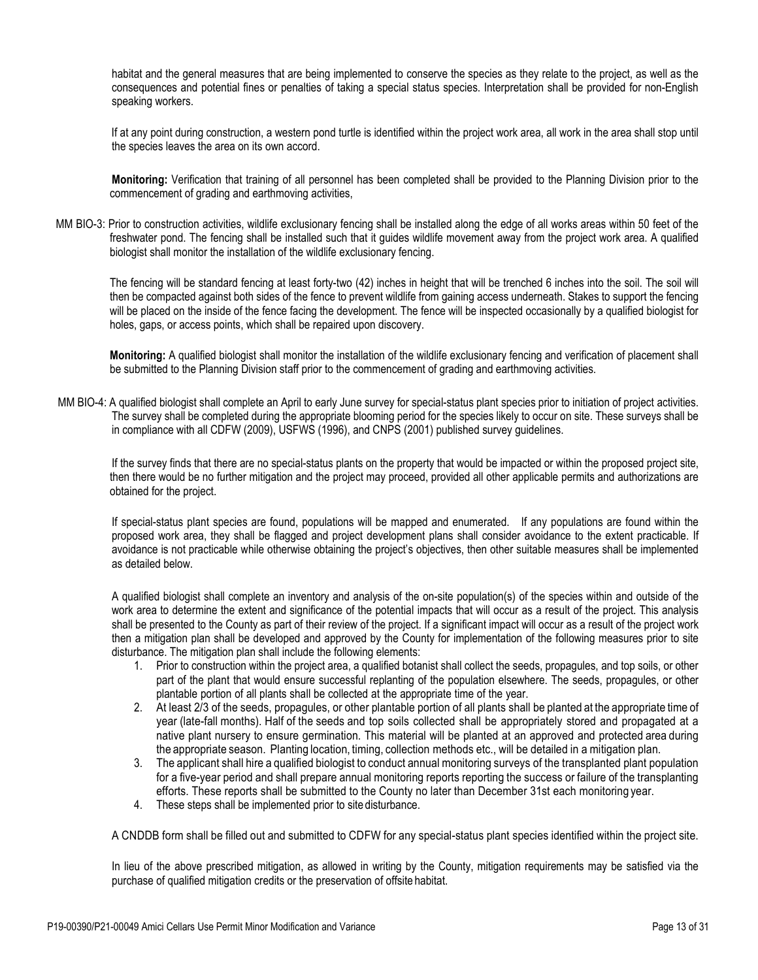habitat and the general measures that are being implemented to conserve the species as they relate to the project, as well as the consequences and potential fines or penalties of taking a special status species. Interpretation shall be provided for non-English speaking workers.

 If at any point during construction, a western pond turtle is identified within the project work area, all work in the area shall stop until the species leaves the area on its own accord.

**Monitoring:** Verification that training of all personnel has been completed shall be provided to the Planning Division prior to the commencement of grading and earthmoving activities,

MM BIO-3: Prior to construction activities, wildlife exclusionary fencing shall be installed along the edge of all works areas within 50 feet of the freshwater pond. The fencing shall be installed such that it guides wildlife movement away from the project work area. A qualified biologist shall monitor the installation of the wildlife exclusionary fencing.

The fencing will be standard fencing at least forty-two (42) inches in height that will be trenched 6 inches into the soil. The soil will then be compacted against both sides of the fence to prevent wildlife from gaining access underneath. Stakes to support the fencing will be placed on the inside of the fence facing the development. The fence will be inspected occasionally by a qualified biologist for holes, gaps, or access points, which shall be repaired upon discovery.

**Monitoring:** A qualified biologist shall monitor the installation of the wildlife exclusionary fencing and verification of placement shall be submitted to the Planning Division staff prior to the commencement of grading and earthmoving activities.

MM BIO-4: A qualified biologist shall complete an April to early June survey for special-status plant species prior to initiation of project activities. The survey shall be completed during the appropriate blooming period for the species likely to occur on site. These surveys shall be in compliance with all CDFW (2009), USFWS (1996), and CNPS (2001) published survey guidelines.

If the survey finds that there are no special-status plants on the property that would be impacted or within the proposed project site, then there would be no further mitigation and the project may proceed, provided all other applicable permits and authorizations are obtained for the project.

If special-status plant species are found, populations will be mapped and enumerated. If any populations are found within the proposed work area, they shall be flagged and project development plans shall consider avoidance to the extent practicable. If avoidance is not practicable while otherwise obtaining the project's objectives, then other suitable measures shall be implemented as detailed below.

A qualified biologist shall complete an inventory and analysis of the on-site population(s) of the species within and outside of the work area to determine the extent and significance of the potential impacts that will occur as a result of the project. This analysis shall be presented to the County as part of their review of the project. If a significant impact will occur as a result of the project work then a mitigation plan shall be developed and approved by the County for implementation of the following measures prior to site disturbance. The mitigation plan shall include the following elements:

- 1. Prior to construction within the project area, a qualified botanist shall collect the seeds, propagules, and top soils, or other part of the plant that would ensure successful replanting of the population elsewhere. The seeds, propagules, or other plantable portion of all plants shall be collected at the appropriate time of the year.
- 2. At least 2/3 of the seeds, propagules, or other plantable portion of all plants shall be planted at the appropriate time of year (late-fall months). Half of the seeds and top soils collected shall be appropriately stored and propagated at a native plant nursery to ensure germination. This material will be planted at an approved and protected area during the appropriate season. Planting location, timing, collection methods etc., will be detailed in a mitigation plan.
- 3. The applicant shall hire a qualified biologist to conduct annual monitoring surveys of the transplanted plant population for a five-year period and shall prepare annual monitoring reports reporting the success or failure of the transplanting efforts. These reports shall be submitted to the County no later than December 31st each monitoring year.
- 4. These steps shall be implemented prior to site disturbance.

A CNDDB form shall be filled out and submitted to CDFW for any special-status plant species identified within the project site.

In lieu of the above prescribed mitigation, as allowed in writing by the County, mitigation requirements may be satisfied via the purchase of qualified mitigation credits or the preservation of offsite habitat.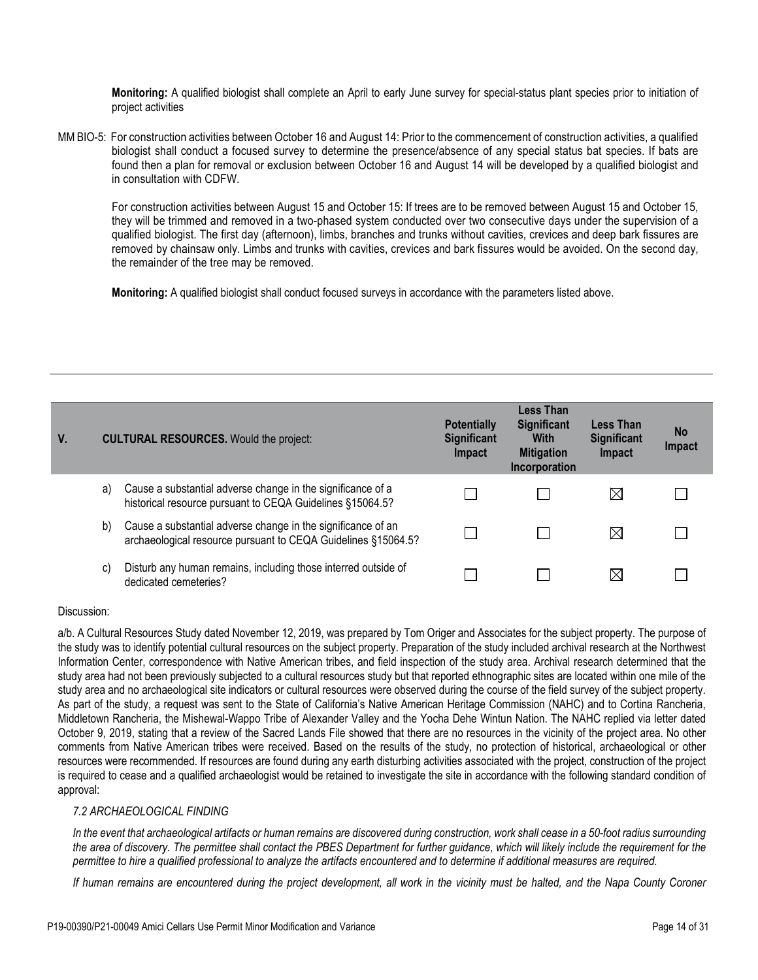**Monitoring:** A qualified biologist shall complete an April to early June survey for special-status plant species prior to initiation of project activities

MM BIO-5: For construction activities between October 16 and August 14: Prior to the commencement of construction activities, a qualified biologist shall conduct a focused survey to determine the presence/absence of any special status bat species. If bats are found then a plan for removal or exclusion between October 16 and August 14 will be developed by a qualified biologist and in consultation with CDFW.

For construction activities between August 15 and October 15: If trees are to be removed between August 15 and October 15, they will be trimmed and removed in a two-phased system conducted over two consecutive days under the supervision of a qualified biologist. The first day (afternoon), limbs, branches and trunks without cavities, crevices and deep bark fissures are removed by chainsaw only. Limbs and trunks with cavities, crevices and bark fissures would be avoided. On the second day, the remainder of the tree may be removed.

**Monitoring:** A qualified biologist shall conduct focused surveys in accordance with the parameters listed above.

| V. |    | <b>CULTURAL RESOURCES.</b> Would the project:                                                                                 | <b>Potentially</b><br><b>Significant</b><br><b>Impact</b> | <b>Less Than</b><br><b>Significant</b><br>With<br><b>Mitigation</b> | <b>Less Than</b><br><b>Significant</b><br>Impact | <b>No</b><br>Impact |
|----|----|-------------------------------------------------------------------------------------------------------------------------------|-----------------------------------------------------------|---------------------------------------------------------------------|--------------------------------------------------|---------------------|
|    | a) | Cause a substantial adverse change in the significance of a<br>historical resource pursuant to CEQA Guidelines §15064.5?      |                                                           | Incorporation                                                       | $\boxtimes$                                      |                     |
|    | b) | Cause a substantial adverse change in the significance of an<br>archaeological resource pursuant to CEQA Guidelines §15064.5? |                                                           |                                                                     | ⊠                                                |                     |
|    | C) | Disturb any human remains, including those interred outside of<br>dedicated cemeteries?                                       |                                                           |                                                                     | ⋉                                                |                     |

### Discussion:

a/b. A Cultural Resources Study dated November 12, 2019, was prepared by Tom Origer and Associates for the subject property. The purpose of the study was to identify potential cultural resources on the subject property. Preparation of the study included archival research at the Northwest Information Center, correspondence with Native American tribes, and field inspection of the study area. Archival research determined that the study area had not been previously subjected to a cultural resources study but that reported ethnographic sites are located within one mile of the study area and no archaeological site indicators or cultural resources were observed during the course of the field survey of the subject property. As part of the study, a request was sent to the State of California's Native American Heritage Commission (NAHC) and to Cortina Rancheria, Middletown Rancheria, the Mishewal-Wappo Tribe of Alexander Valley and the Yocha Dehe Wintun Nation. The NAHC replied via letter dated October 9, 2019, stating that a review of the Sacred Lands File showed that there are no resources in the vicinity of the project area. No other comments from Native American tribes were received. Based on the results of the study, no protection of historical, archaeological or other resources were recommended. If resources are found during any earth disturbing activities associated with the project, construction of the project is required to cease and a qualified archaeologist would be retained to investigate the site in accordance with the following standard condition of approval:

# *7.2 ARCHAEOLOGICAL FINDING*

*In the event that archaeological artifacts or human remains are discovered during construction, work shall cease in a 50-foot radius surrounding the area of discovery. The permittee shall contact the PBES Department for further guidance, which will likely include the requirement for the permittee to hire a qualified professional to analyze the artifacts encountered and to determine if additional measures are required.*

*If human remains are encountered during the project development, all work in the vicinity must be halted, and the Napa County Coroner*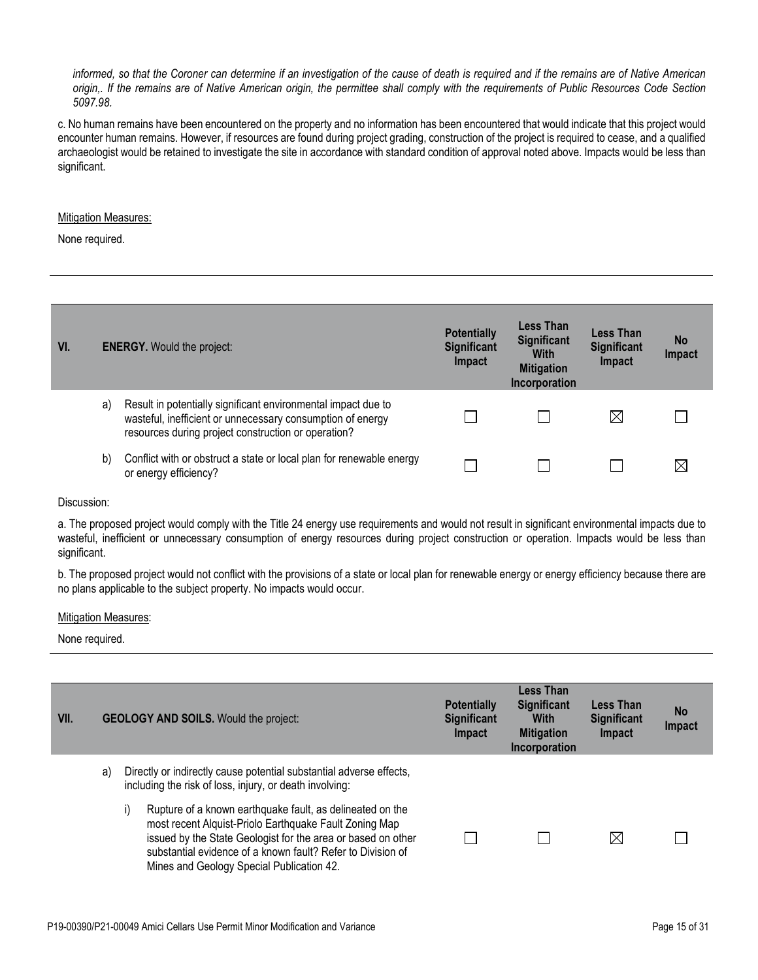### *informed, so that the Coroner can determine if an investigation of the cause of death is required and if the remains are of Native American origin,. If the remains are of Native American origin, the permittee shall comply with the requirements of Public Resources Code Section 5097.98.*

c. No human remains have been encountered on the property and no information has been encountered that would indicate that this project would encounter human remains. However, if resources are found during project grading, construction of the project is required to cease, and a qualified archaeologist would be retained to investigate the site in accordance with standard condition of approval noted above. Impacts would be less than significant.

## **Mitigation Measures:**

None required.

| VI. | <b>ENERGY.</b> Would the project: |                                                                                                                                                                                    | <b>Potentially</b><br><b>Significant</b><br><b>Impact</b> | Less Than<br><b>Significant</b><br><b>With</b><br><b>Mitigation</b><br>Incorporation | <b>Less Than</b><br><b>Significant</b><br>Impact | <b>No</b><br>Impact |
|-----|-----------------------------------|------------------------------------------------------------------------------------------------------------------------------------------------------------------------------------|-----------------------------------------------------------|--------------------------------------------------------------------------------------|--------------------------------------------------|---------------------|
|     | a)                                | Result in potentially significant environmental impact due to<br>wasteful, inefficient or unnecessary consumption of energy<br>resources during project construction or operation? |                                                           |                                                                                      | $\boxtimes$                                      |                     |
|     | b)                                | Conflict with or obstruct a state or local plan for renewable energy<br>or energy efficiency?                                                                                      |                                                           |                                                                                      |                                                  |                     |

Discussion:

a. The proposed project would comply with the Title 24 energy use requirements and would not result in significant environmental impacts due to wasteful, inefficient or unnecessary consumption of energy resources during project construction or operation. Impacts would be less than significant.

b. The proposed project would not conflict with the provisions of a state or local plan for renewable energy or energy efficiency because there are no plans applicable to the subject property. No impacts would occur.

#### Mitigation Measures:

| VII. |    | <b>GEOLOGY AND SOILS.</b> Would the project:                                                                                                                                                                                                                                                          | <b>Potentially</b><br><b>Significant</b><br>Impact | <b>Less Than</b><br><b>Significant</b><br><b>With</b><br><b>Mitigation</b><br>Incorporation | <b>Less Than</b><br><b>Significant</b><br>Impact | <b>No</b><br>Impact |
|------|----|-------------------------------------------------------------------------------------------------------------------------------------------------------------------------------------------------------------------------------------------------------------------------------------------------------|----------------------------------------------------|---------------------------------------------------------------------------------------------|--------------------------------------------------|---------------------|
|      | a) | Directly or indirectly cause potential substantial adverse effects,<br>including the risk of loss, injury, or death involving:                                                                                                                                                                        |                                                    |                                                                                             |                                                  |                     |
|      |    | Rupture of a known earthquake fault, as delineated on the<br>I)<br>most recent Alquist-Priolo Earthquake Fault Zoning Map<br>issued by the State Geologist for the area or based on other<br>substantial evidence of a known fault? Refer to Division of<br>Mines and Geology Special Publication 42. |                                                    |                                                                                             | $\boxtimes$                                      |                     |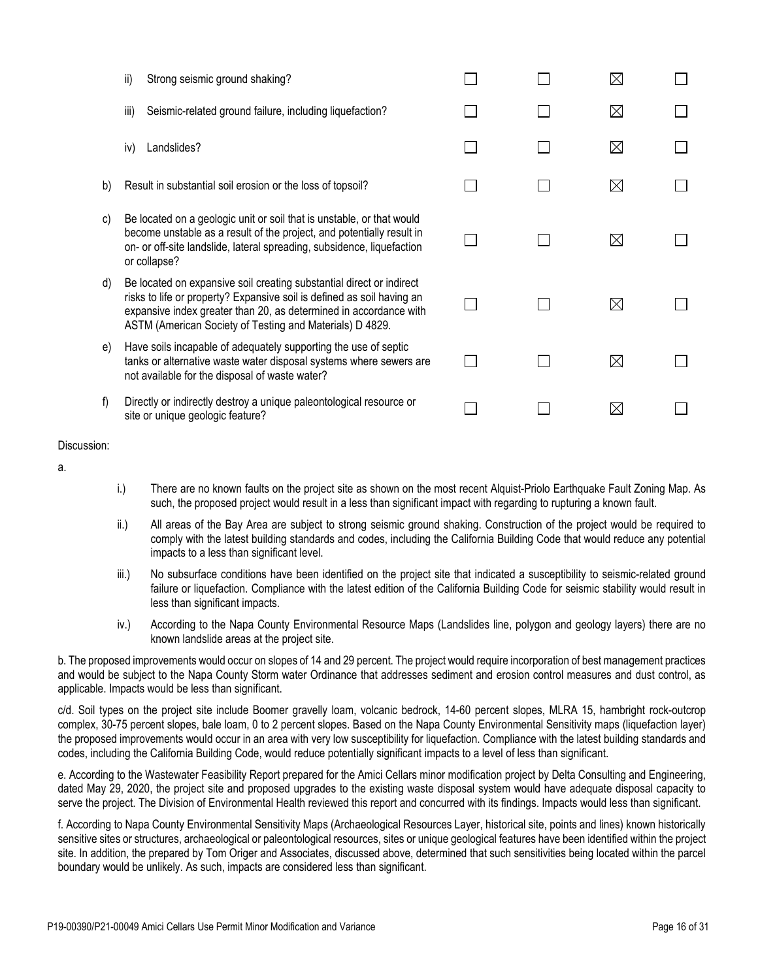|    | ii)<br>Strong seismic ground shaking?                                                                                                                                                                                                                                           |  | X           |  |
|----|---------------------------------------------------------------------------------------------------------------------------------------------------------------------------------------------------------------------------------------------------------------------------------|--|-------------|--|
|    | Seismic-related ground failure, including liquefaction?<br>iii)                                                                                                                                                                                                                 |  | $\boxtimes$ |  |
|    | Landslides?<br>iv)                                                                                                                                                                                                                                                              |  | $\boxtimes$ |  |
| b) | Result in substantial soil erosion or the loss of topsoil?                                                                                                                                                                                                                      |  | $\boxtimes$ |  |
| c) | Be located on a geologic unit or soil that is unstable, or that would<br>become unstable as a result of the project, and potentially result in<br>on- or off-site landslide, lateral spreading, subsidence, liquefaction<br>or collapse?                                        |  | $\boxtimes$ |  |
| d) | Be located on expansive soil creating substantial direct or indirect<br>risks to life or property? Expansive soil is defined as soil having an<br>expansive index greater than 20, as determined in accordance with<br>ASTM (American Society of Testing and Materials) D 4829. |  | $\boxtimes$ |  |
| e) | Have soils incapable of adequately supporting the use of septic<br>tanks or alternative waste water disposal systems where sewers are<br>not available for the disposal of waste water?                                                                                         |  | $\boxtimes$ |  |
| f) | Directly or indirectly destroy a unique paleontological resource or<br>site or unique geologic feature?                                                                                                                                                                         |  | ⋉           |  |

- a.
- i.) There are no known faults on the project site as shown on the most recent Alquist-Priolo Earthquake Fault Zoning Map. As such, the proposed project would result in a less than significant impact with regarding to rupturing a known fault.
- ii.) All areas of the Bay Area are subject to strong seismic ground shaking. Construction of the project would be required to comply with the latest building standards and codes, including the California Building Code that would reduce any potential impacts to a less than significant level.
- iii.) No subsurface conditions have been identified on the project site that indicated a susceptibility to seismic-related ground failure or liquefaction. Compliance with the latest edition of the California Building Code for seismic stability would result in less than significant impacts.
- iv.) According to the Napa County Environmental Resource Maps (Landslides line, polygon and geology layers) there are no known landslide areas at the project site.

b. The proposed improvements would occur on slopes of 14 and 29 percent. The project would require incorporation of best management practices and would be subject to the Napa County Storm water Ordinance that addresses sediment and erosion control measures and dust control, as applicable. Impacts would be less than significant.

c/d. Soil types on the project site include Boomer gravelly loam, volcanic bedrock, 14-60 percent slopes, MLRA 15, hambright rock-outcrop complex, 30-75 percent slopes, bale loam, 0 to 2 percent slopes. Based on the Napa County Environmental Sensitivity maps (liquefaction layer) the proposed improvements would occur in an area with very low susceptibility for liquefaction. Compliance with the latest building standards and codes, including the California Building Code, would reduce potentially significant impacts to a level of less than significant.

e. According to the Wastewater Feasibility Report prepared for the Amici Cellars minor modification project by Delta Consulting and Engineering, dated May 29, 2020, the project site and proposed upgrades to the existing waste disposal system would have adequate disposal capacity to serve the project. The Division of Environmental Health reviewed this report and concurred with its findings. Impacts would less than significant.

f. According to Napa County Environmental Sensitivity Maps (Archaeological Resources Layer, historical site, points and lines) known historically sensitive sites or structures, archaeological or paleontological resources, sites or unique geological features have been identified within the project site. In addition, the prepared by Tom Origer and Associates, discussed above, determined that such sensitivities being located within the parcel boundary would be unlikely. As such, impacts are considered less than significant.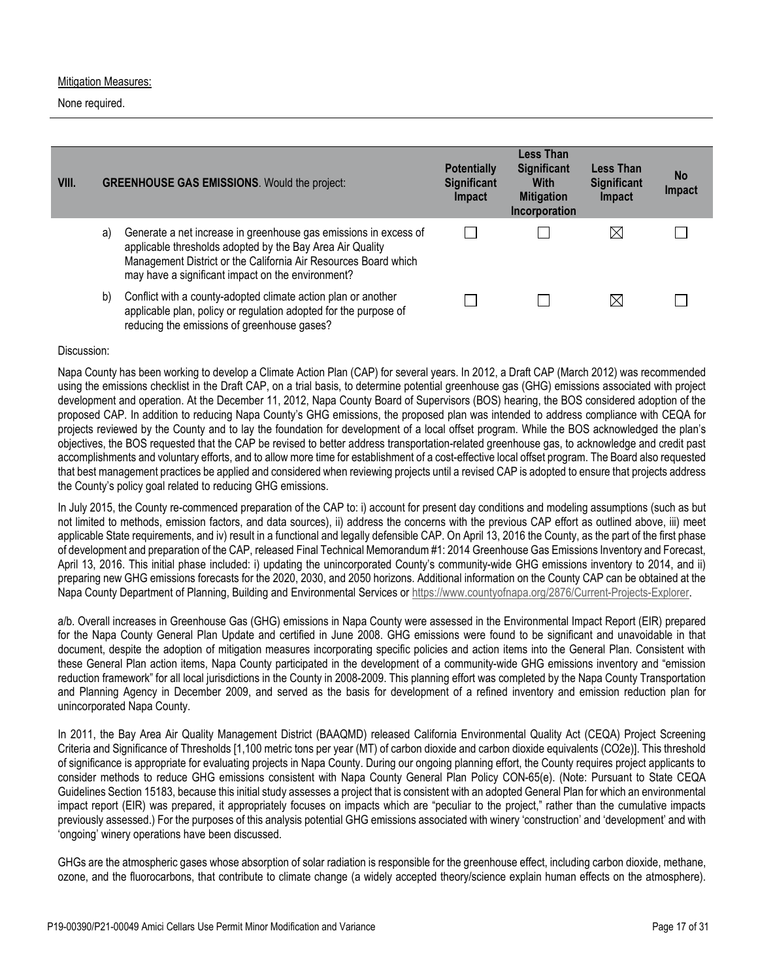### Mitigation Measures:

None required.

| VIII. |    | <b>GREENHOUSE GAS EMISSIONS.</b> Would the project:                                                                                                                                                                                                   | <b>Potentially</b><br><b>Significant</b><br>Impact | <b>Less Than</b><br><b>Significant</b><br><b>With</b><br><b>Mitigation</b><br>Incorporation | <b>Less Than</b><br><b>Significant</b><br>Impact | <b>No</b><br><b>Impact</b> |
|-------|----|-------------------------------------------------------------------------------------------------------------------------------------------------------------------------------------------------------------------------------------------------------|----------------------------------------------------|---------------------------------------------------------------------------------------------|--------------------------------------------------|----------------------------|
|       | a) | Generate a net increase in greenhouse gas emissions in excess of<br>applicable thresholds adopted by the Bay Area Air Quality<br>Management District or the California Air Resources Board which<br>may have a significant impact on the environment? |                                                    |                                                                                             | $\boxtimes$                                      |                            |
|       | b) | Conflict with a county-adopted climate action plan or another<br>applicable plan, policy or regulation adopted for the purpose of<br>reducing the emissions of greenhouse gases?                                                                      |                                                    |                                                                                             | $\boxtimes$                                      |                            |

## Discussion:

Napa County has been working to develop a Climate Action Plan (CAP) for several years. In 2012, a Draft CAP (March 2012) was recommended using the emissions checklist in the Draft CAP, on a trial basis, to determine potential greenhouse gas (GHG) emissions associated with project development and operation. At the December 11, 2012, Napa County Board of Supervisors (BOS) hearing, the BOS considered adoption of the proposed CAP. In addition to reducing Napa County's GHG emissions, the proposed plan was intended to address compliance with CEQA for projects reviewed by the County and to lay the foundation for development of a local offset program. While the BOS acknowledged the plan's objectives, the BOS requested that the CAP be revised to better address transportation-related greenhouse gas, to acknowledge and credit past accomplishments and voluntary efforts, and to allow more time for establishment of a cost-effective local offset program. The Board also requested that best management practices be applied and considered when reviewing projects until a revised CAP is adopted to ensure that projects address the County's policy goal related to reducing GHG emissions.

In July 2015, the County re-commenced preparation of the CAP to: i) account for present day conditions and modeling assumptions (such as but not limited to methods, emission factors, and data sources), ii) address the concerns with the previous CAP effort as outlined above, iii) meet applicable State requirements, and iv) result in a functional and legally defensible CAP. On April 13, 2016 the County, as the part of the first phase of development and preparation of the CAP, released Final Technical Memorandum #1: 2014 Greenhouse Gas Emissions Inventory and Forecast, April 13, 2016. This initial phase included: i) updating the unincorporated County's community-wide GHG emissions inventory to 2014, and ii) preparing new GHG emissions forecasts for the 2020, 2030, and 2050 horizons. Additional information on the County CAP can be obtained at the Napa County Department of Planning, Building and Environmental Services or [https://www.countyofnapa.org/2876/Current-Projects-Explorer.](https://www.countyofnapa.org/2876/Current-Projects-Explorer)

a/b. Overall increases in Greenhouse Gas (GHG) emissions in Napa County were assessed in the Environmental Impact Report (EIR) prepared for the Napa County General Plan Update and certified in June 2008. GHG emissions were found to be significant and unavoidable in that document, despite the adoption of mitigation measures incorporating specific policies and action items into the General Plan. Consistent with these General Plan action items, Napa County participated in the development of a community-wide GHG emissions inventory and "emission reduction framework" for all local jurisdictions in the County in 2008-2009. This planning effort was completed by the Napa County Transportation and Planning Agency in December 2009, and served as the basis for development of a refined inventory and emission reduction plan for unincorporated Napa County.

In 2011, the Bay Area Air Quality Management District (BAAQMD) released California Environmental Quality Act (CEQA) Project Screening Criteria and Significance of Thresholds [1,100 metric tons per year (MT) of carbon dioxide and carbon dioxide equivalents (CO2e)]. This threshold of significance is appropriate for evaluating projects in Napa County. During our ongoing planning effort, the County requires project applicants to consider methods to reduce GHG emissions consistent with Napa County General Plan Policy CON-65(e). (Note: Pursuant to State CEQA Guidelines Section 15183, because this initial study assesses a project that is consistent with an adopted General Plan for which an environmental impact report (EIR) was prepared, it appropriately focuses on impacts which are "peculiar to the project," rather than the cumulative impacts previously assessed.) For the purposes of this analysis potential GHG emissions associated with winery 'construction' and 'development' and with 'ongoing' winery operations have been discussed.

GHGs are the atmospheric gases whose absorption of solar radiation is responsible for the greenhouse effect, including carbon dioxide, methane, ozone, and the fluorocarbons, that contribute to climate change (a widely accepted theory/science explain human effects on the atmosphere).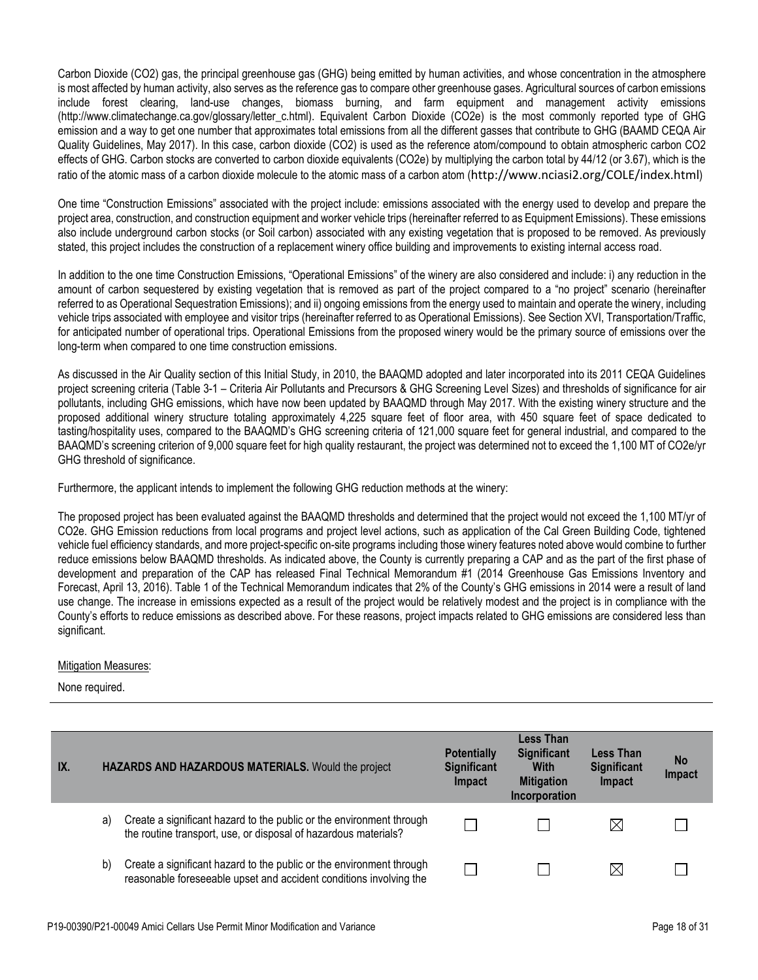Carbon Dioxide (CO2) gas, the principal greenhouse gas (GHG) being emitted by human activities, and whose concentration in the atmosphere is most affected by human activity, also serves as the reference gas to compare other greenhouse gases. Agricultural sources of carbon emissions include forest clearing, land-use changes, biomass burning, and farm equipment and management activity emissions (http://www.climatechange.ca.gov/glossary/letter\_c.html). Equivalent Carbon Dioxide (CO2e) is the most commonly reported type of GHG emission and a way to get one number that approximates total emissions from all the different gasses that contribute to GHG (BAAMD CEQA Air Quality Guidelines, May 2017). In this case, carbon dioxide (CO2) is used as the reference atom/compound to obtain atmospheric carbon CO2 effects of GHG. Carbon stocks are converted to carbon dioxide equivalents (CO2e) by multiplying the carbon total by 44/12 (or 3.67), which is the ratio of the atomic mass of a carbon dioxide molecule to the atomic mass of a carbon atom (<http://www.nciasi2.org/COLE/index.html>)

One time "Construction Emissions" associated with the project include: emissions associated with the energy used to develop and prepare the project area, construction, and construction equipment and worker vehicle trips (hereinafter referred to as Equipment Emissions). These emissions also include underground carbon stocks (or Soil carbon) associated with any existing vegetation that is proposed to be removed. As previously stated, this project includes the construction of a replacement winery office building and improvements to existing internal access road.

In addition to the one time Construction Emissions, "Operational Emissions" of the winery are also considered and include: i) any reduction in the amount of carbon sequestered by existing vegetation that is removed as part of the project compared to a "no project" scenario (hereinafter referred to as Operational Sequestration Emissions); and ii) ongoing emissions from the energy used to maintain and operate the winery, including vehicle trips associated with employee and visitor trips (hereinafter referred to as Operational Emissions). See Section XVI, Transportation/Traffic, for anticipated number of operational trips. Operational Emissions from the proposed winery would be the primary source of emissions over the long-term when compared to one time construction emissions.

As discussed in the Air Quality section of this Initial Study, in 2010, the BAAQMD adopted and later incorporated into its 2011 CEQA Guidelines project screening criteria (Table 3-1 – Criteria Air Pollutants and Precursors & GHG Screening Level Sizes) and thresholds of significance for air pollutants, including GHG emissions, which have now been updated by BAAQMD through May 2017. With the existing winery structure and the proposed additional winery structure totaling approximately 4,225 square feet of floor area, with 450 square feet of space dedicated to tasting/hospitality uses, compared to the BAAQMD's GHG screening criteria of 121,000 square feet for general industrial, and compared to the BAAQMD's screening criterion of 9,000 square feet for high quality restaurant, the project was determined not to exceed the 1,100 MT of CO2e/yr GHG threshold of significance.

Furthermore, the applicant intends to implement the following GHG reduction methods at the winery:

The proposed project has been evaluated against the BAAQMD thresholds and determined that the project would not exceed the 1,100 MT/yr of CO2e. GHG Emission reductions from local programs and project level actions, such as application of the Cal Green Building Code, tightened vehicle fuel efficiency standards, and more project-specific on-site programs including those winery features noted above would combine to further reduce emissions below BAAQMD thresholds. As indicated above, the County is currently preparing a CAP and as the part of the first phase of development and preparation of the CAP has released Final Technical Memorandum #1 (2014 Greenhouse Gas Emissions Inventory and Forecast, April 13, 2016). Table 1 of the Technical Memorandum indicates that 2% of the County's GHG emissions in 2014 were a result of land use change. The increase in emissions expected as a result of the project would be relatively modest and the project is in compliance with the County's efforts to reduce emissions as described above. For these reasons, project impacts related to GHG emissions are considered less than significant.

## Mitigation Measures:

| IX. |    | HAZARDS AND HAZARDOUS MATERIALS. Would the project                                                                                         | <b>Potentially</b><br><b>Significant</b><br><b>Impact</b> | Less Than<br><b>Significant</b><br><b>With</b><br><b>Mitigation</b><br>Incorporation | <b>Less Than</b><br><b>Significant</b><br>Impact | <b>No</b><br>Impact |
|-----|----|--------------------------------------------------------------------------------------------------------------------------------------------|-----------------------------------------------------------|--------------------------------------------------------------------------------------|--------------------------------------------------|---------------------|
|     | a) | Create a significant hazard to the public or the environment through<br>the routine transport, use, or disposal of hazardous materials?    |                                                           |                                                                                      | $\boxtimes$                                      |                     |
|     | b) | Create a significant hazard to the public or the environment through<br>reasonable foreseeable upset and accident conditions involving the |                                                           |                                                                                      | $\bowtie$                                        |                     |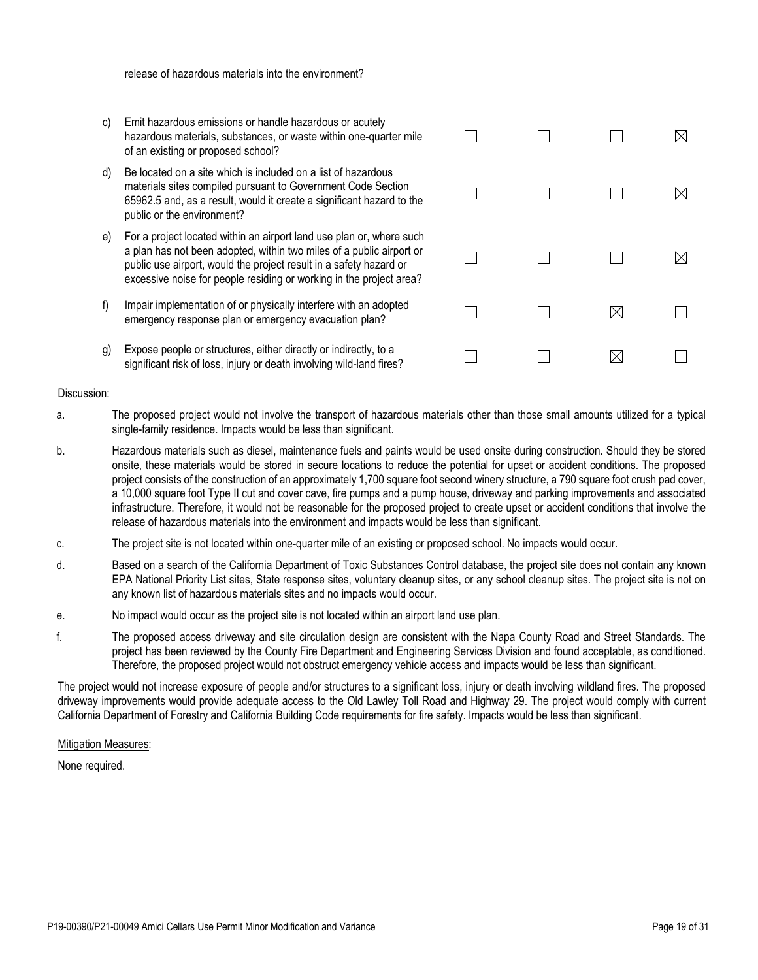release of hazardous materials into the environment?

- c) Emit hazardous emissions or handle hazardous or acutely hazardous materials, substances, or waste within one-quarter mile of an existing or proposed school?
- d) Be located on a site which is included on a list of hazardous materials sites compiled pursuant to Government Code Section 65962.5 and, as a result, would it create a significant hazard to the public or the environment?
- e) For a project located within an airport land use plan or, where such a plan has not been adopted, within two miles of a public airport or public use airport, would the project result in a safety hazard or excessive noise for people residing or working in the project area?
- f) Impair implementation of or physically interfere with an adopted emergency response plan or emergency evacuation plan?
- g) Expose people or structures, either directly or indirectly, to a significant risk of loss, injury or death involving wild-land fires?

#### Discussion:

a. The proposed project would not involve the transport of hazardous materials other than those small amounts utilized for a typical single-family residence. Impacts would be less than significant.

 $\Box$ 

П

П

П

П

 $\Box$ 

- b. Hazardous materials such as diesel, maintenance fuels and paints would be used onsite during construction. Should they be stored onsite, these materials would be stored in secure locations to reduce the potential for upset or accident conditions. The proposed project consists of the construction of an approximately 1,700 square foot second winery structure, a 790 square foot crush pad cover, a 10,000 square foot Type II cut and cover cave, fire pumps and a pump house, driveway and parking improvements and associated infrastructure. Therefore, it would not be reasonable for the proposed project to create upset or accident conditions that involve the release of hazardous materials into the environment and impacts would be less than significant.
- c. The project site is not located within one-quarter mile of an existing or proposed school. No impacts would occur.
- d. Based on a search of the California Department of Toxic Substances Control database, the project site does not contain any known EPA National Priority List sites, State response sites, voluntary cleanup sites, or any school cleanup sites. The project site is not on any known list of hazardous materials sites and no impacts would occur.
- e. No impact would occur as the project site is not located within an airport land use plan.
- f. The proposed access driveway and site circulation design are consistent with the Napa County Road and Street Standards. The project has been reviewed by the County Fire Department and Engineering Services Division and found acceptable, as conditioned. Therefore, the proposed project would not obstruct emergency vehicle access and impacts would be less than significant.

The project would not increase exposure of people and/or structures to a significant loss, injury or death involving wildland fires. The proposed driveway improvements would provide adequate access to the Old Lawley Toll Road and Highway 29. The project would comply with current California Department of Forestry and California Building Code requirements for fire safety. Impacts would be less than significant.

#### Mitigation Measures:

None required.

| $\Box$ | $\Box$      | $\boxtimes$ |
|--------|-------------|-------------|
| $\Box$ | $\Box$      | $\boxtimes$ |
| $\Box$ | $\boxtimes$ | $\Box$      |
|        |             |             |

 $\Box$ 

 $\boxtimes$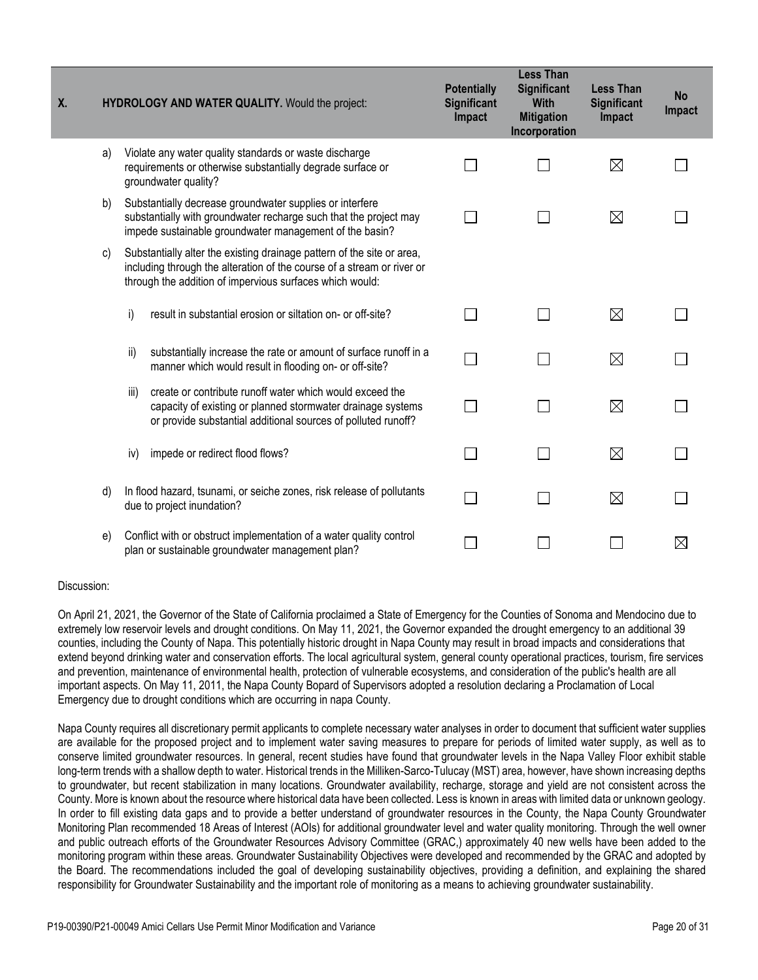| <b>X.</b> |    | HYDROLOGY AND WATER QUALITY. Would the project: |                                                                                                                                                                                                              | <b>Potentially</b><br><b>Significant</b><br>Impact | <b>Less Than</b><br><b>Significant</b><br><b>With</b><br><b>Mitigation</b><br>Incorporation | <b>Less Than</b><br><b>Significant</b><br>Impact | <b>No</b><br>Impact |
|-----------|----|-------------------------------------------------|--------------------------------------------------------------------------------------------------------------------------------------------------------------------------------------------------------------|----------------------------------------------------|---------------------------------------------------------------------------------------------|--------------------------------------------------|---------------------|
|           | a) |                                                 | Violate any water quality standards or waste discharge<br>requirements or otherwise substantially degrade surface or<br>groundwater quality?                                                                 |                                                    |                                                                                             | $\boxtimes$                                      |                     |
|           | b) |                                                 | Substantially decrease groundwater supplies or interfere<br>substantially with groundwater recharge such that the project may<br>impede sustainable groundwater management of the basin?                     |                                                    |                                                                                             | ⊠                                                |                     |
|           | C) |                                                 | Substantially alter the existing drainage pattern of the site or area,<br>including through the alteration of the course of a stream or river or<br>through the addition of impervious surfaces which would: |                                                    |                                                                                             |                                                  |                     |
|           |    | i)                                              | result in substantial erosion or siltation on- or off-site?                                                                                                                                                  |                                                    |                                                                                             | $\boxtimes$                                      |                     |
|           |    | ii)                                             | substantially increase the rate or amount of surface runoff in a<br>manner which would result in flooding on- or off-site?                                                                                   |                                                    |                                                                                             | $\boxtimes$                                      |                     |
|           |    | iii)                                            | create or contribute runoff water which would exceed the<br>capacity of existing or planned stormwater drainage systems<br>or provide substantial additional sources of polluted runoff?                     | $\sim$                                             | $\sim$                                                                                      | $\boxtimes$                                      |                     |
|           |    | iv)                                             | impede or redirect flood flows?                                                                                                                                                                              | $\sim$                                             | $\overline{\phantom{0}}$                                                                    | $\boxtimes$                                      |                     |
|           | d) |                                                 | In flood hazard, tsunami, or seiche zones, risk release of pollutants<br>due to project inundation?                                                                                                          |                                                    | $\sim$                                                                                      | $\boxtimes$                                      |                     |
|           | e) |                                                 | Conflict with or obstruct implementation of a water quality control<br>plan or sustainable groundwater management plan?                                                                                      |                                                    |                                                                                             |                                                  | $\boxtimes$         |

On April 21, 2021, the Governor of the State of California proclaimed a State of Emergency for the Counties of Sonoma and Mendocino due to extremely low reservoir levels and drought conditions. On May 11, 2021, the Governor expanded the drought emergency to an additional 39 counties, including the County of Napa. This potentially historic drought in Napa County may result in broad impacts and considerations that extend beyond drinking water and conservation efforts. The local agricultural system, general county operational practices, tourism, fire services and prevention, maintenance of environmental health, protection of vulnerable ecosystems, and consideration of the public's health are all important aspects. On May 11, 2011, the Napa County Bopard of Supervisors adopted a resolution declaring a Proclamation of Local Emergency due to drought conditions which are occurring in napa County.

Napa County requires all discretionary permit applicants to complete necessary water analyses in order to document that sufficient water supplies are available for the proposed project and to implement water saving measures to prepare for periods of limited water supply, as well as to conserve limited groundwater resources. In general, recent studies have found that groundwater levels in the Napa Valley Floor exhibit stable long-term trends with a shallow depth to water. Historical trends in the Milliken-Sarco-Tulucay (MST) area, however, have shown increasing depths to groundwater, but recent stabilization in many locations. Groundwater availability, recharge, storage and yield are not consistent across the County. More is known about the resource where historical data have been collected. Less is known in areas with limited data or unknown geology. In order to fill existing data gaps and to provide a better understand of groundwater resources in the County, the Napa County Groundwater Monitoring Plan recommended 18 Areas of Interest (AOIs) for additional groundwater level and water quality monitoring. Through the well owner and public outreach efforts of the Groundwater Resources Advisory Committee (GRAC,) approximately 40 new wells have been added to the monitoring program within these areas. Groundwater Sustainability Objectives were developed and recommended by the GRAC and adopted by the Board. The recommendations included the goal of developing sustainability objectives, providing a definition, and explaining the shared responsibility for Groundwater Sustainability and the important role of monitoring as a means to achieving groundwater sustainability.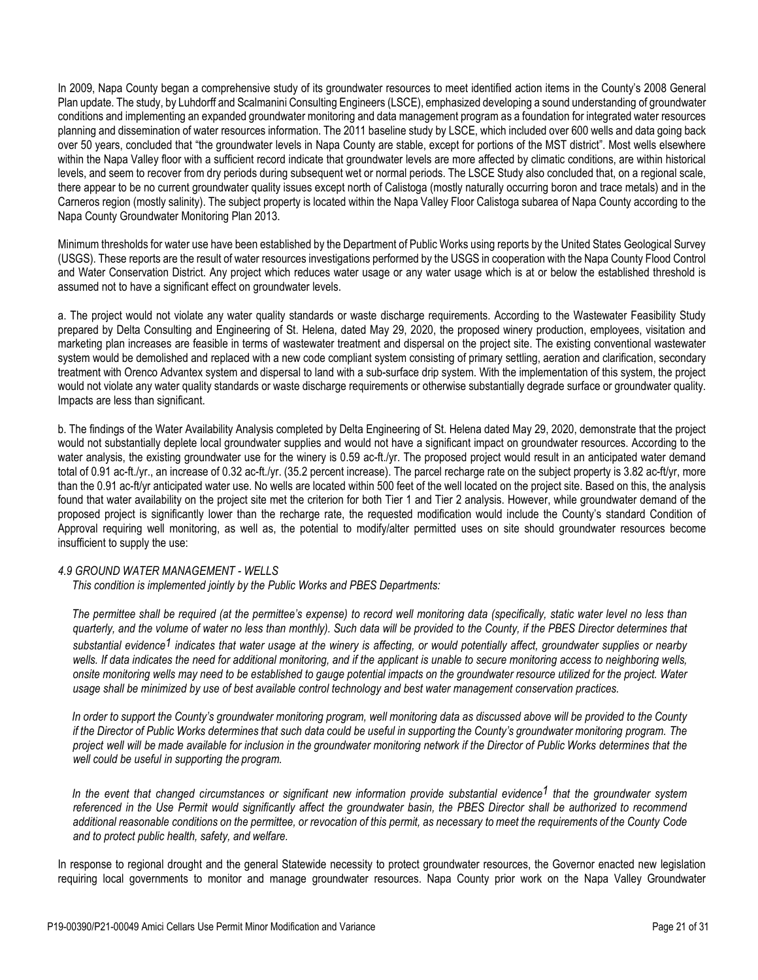In 2009, Napa County began a comprehensive study of its groundwater resources to meet identified action items in the County's 2008 General Plan update. The study, by Luhdorff and Scalmanini Consulting Engineers (LSCE), emphasized developing a sound understanding of groundwater conditions and implementing an expanded groundwater monitoring and data management program as a foundation for integrated water resources planning and dissemination of water resources information. The 2011 baseline study by LSCE, which included over 600 wells and data going back over 50 years, concluded that "the groundwater levels in Napa County are stable, except for portions of the MST district". Most wells elsewhere within the Napa Valley floor with a sufficient record indicate that groundwater levels are more affected by climatic conditions, are within historical levels, and seem to recover from dry periods during subsequent wet or normal periods. The LSCE Study also concluded that, on a regional scale, there appear to be no current groundwater quality issues except north of Calistoga (mostly naturally occurring boron and trace metals) and in the Carneros region (mostly salinity). The subject property is located within the Napa Valley Floor Calistoga subarea of Napa County according to the Napa County Groundwater Monitoring Plan 2013.

Minimum thresholds for water use have been established by the Department of Public Works using reports by the United States Geological Survey (USGS). These reports are the result of water resources investigations performed by the USGS in cooperation with the Napa County Flood Control and Water Conservation District. Any project which reduces water usage or any water usage which is at or below the established threshold is assumed not to have a significant effect on groundwater levels.

a. The project would not violate any water quality standards or waste discharge requirements. According to the Wastewater Feasibility Study prepared by Delta Consulting and Engineering of St. Helena, dated May 29, 2020, the proposed winery production, employees, visitation and marketing plan increases are feasible in terms of wastewater treatment and dispersal on the project site. The existing conventional wastewater system would be demolished and replaced with a new code compliant system consisting of primary settling, aeration and clarification, secondary treatment with Orenco Advantex system and dispersal to land with a sub-surface drip system. With the implementation of this system, the project would not violate any water quality standards or waste discharge requirements or otherwise substantially degrade surface or groundwater quality. Impacts are less than significant.

b. The findings of the Water Availability Analysis completed by Delta Engineering of St. Helena dated May 29, 2020, demonstrate that the project would not substantially deplete local groundwater supplies and would not have a significant impact on groundwater resources. According to the water analysis, the existing groundwater use for the winery is 0.59 ac-ft./yr. The proposed project would result in an anticipated water demand total of 0.91 ac-ft./yr., an increase of 0.32 ac-ft./yr. (35.2 percent increase). The parcel recharge rate on the subject property is 3.82 ac-ft/yr, more than the 0.91 ac-ft/yr anticipated water use. No wells are located within 500 feet of the well located on the project site. Based on this, the analysis found that water availability on the project site met the criterion for both Tier 1 and Tier 2 analysis. However, while groundwater demand of the proposed project is significantly lower than the recharge rate, the requested modification would include the County's standard Condition of Approval requiring well monitoring, as well as, the potential to modify/alter permitted uses on site should groundwater resources become insufficient to supply the use:

## *4.9 GROUND WATER MANAGEMENT - WELLS*

 *This condition is implemented jointly by the Public Works and PBES Departments:*

 *The permittee shall be required (at the permittee's expense) to record well monitoring data (specifically, static water level no less than quarterly, and the volume of water no less than monthly). Such data will be provided to the County, if the PBES Director determines that substantial evidence1 indicates that water usage at the winery is affecting, or would potentially affect, groundwater supplies or nearby*  wells. If data indicates the need for additional monitoring, and if the applicant is unable to secure monitoring access to neighboring wells, *onsite monitoring wells may need to be established to gauge potential impacts on the groundwater resource utilized for the project. Water usage shall be minimized by use of best available control technology and best water management conservation practices.*

 *In order to support the County's groundwater monitoring program, well monitoring data as discussed above will be provided to the County* if the Director of Public Works determines that such data could be useful in supporting the County's groundwater monitoring program. The project well will be made available for inclusion in the groundwater monitoring network if the Director of Public Works determines that the *well could be useful in supporting the program.*

 *In the event that changed circumstances or significant new information provide substantial evidence1 that the groundwater system*  referenced in the Use Permit would significantly affect the groundwater basin, the PBES Director shall be authorized to recommend additional reasonable conditions on the permittee, or revocation of this permit, as necessary to meet the requirements of the County Code *and to protect public health, safety, and welfare.*

In response to regional drought and the general Statewide necessity to protect groundwater resources, the Governor enacted new legislation requiring local governments to monitor and manage groundwater resources. Napa County prior work on the Napa Valley Groundwater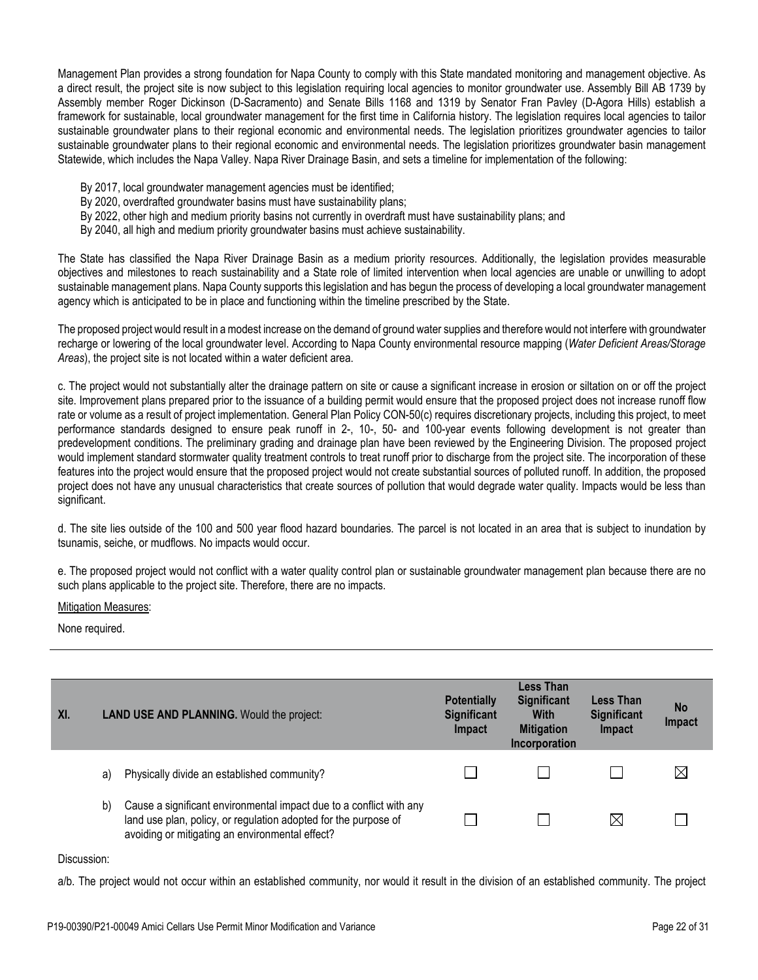Management Plan provides a strong foundation for Napa County to comply with this State mandated monitoring and management objective. As a direct result, the project site is now subject to this legislation requiring local agencies to monitor groundwater use. Assembly Bill AB 1739 by Assembly member Roger Dickinson (D-Sacramento) and Senate Bills 1168 and 1319 by Senator Fran Pavley (D-Agora Hills) establish a framework for sustainable, local groundwater management for the first time in California history. The legislation requires local agencies to tailor sustainable groundwater plans to their regional economic and environmental needs. The legislation prioritizes groundwater agencies to tailor sustainable groundwater plans to their regional economic and environmental needs. The legislation prioritizes groundwater basin management Statewide, which includes the Napa Valley. Napa River Drainage Basin, and sets a timeline for implementation of the following:

- By 2017, local groundwater management agencies must be identified;
- By 2020, overdrafted groundwater basins must have sustainability plans;
- By 2022, other high and medium priority basins not currently in overdraft must have sustainability plans; and
- By 2040, all high and medium priority groundwater basins must achieve sustainability.

The State has classified the Napa River Drainage Basin as a medium priority resources. Additionally, the legislation provides measurable objectives and milestones to reach sustainability and a State role of limited intervention when local agencies are unable or unwilling to adopt sustainable management plans. Napa County supports this legislation and has begun the process of developing a local groundwater management agency which is anticipated to be in place and functioning within the timeline prescribed by the State.

The proposed project would result in a modest increase on the demand of ground water supplies and therefore would not interfere with groundwater recharge or lowering of the local groundwater level. According to Napa County environmental resource mapping (*Water Deficient Areas/Storage Areas*), the project site is not located within a water deficient area.

c. The project would not substantially alter the drainage pattern on site or cause a significant increase in erosion or siltation on or off the project site. Improvement plans prepared prior to the issuance of a building permit would ensure that the proposed project does not increase runoff flow rate or volume as a result of project implementation. General Plan Policy CON-50(c) requires discretionary projects, including this project, to meet performance standards designed to ensure peak runoff in 2-, 10-, 50- and 100-year events following development is not greater than predevelopment conditions. The preliminary grading and drainage plan have been reviewed by the Engineering Division. The proposed project would implement standard stormwater quality treatment controls to treat runoff prior to discharge from the project site. The incorporation of these features into the project would ensure that the proposed project would not create substantial sources of polluted runoff. In addition, the proposed project does not have any unusual characteristics that create sources of pollution that would degrade water quality. Impacts would be less than significant.

d. The site lies outside of the 100 and 500 year flood hazard boundaries. The parcel is not located in an area that is subject to inundation by tsunamis, seiche, or mudflows. No impacts would occur.

e. The proposed project would not conflict with a water quality control plan or sustainable groundwater management plan because there are no such plans applicable to the project site. Therefore, there are no impacts.

Mitigation Measures:

None required.

| XI. |    | <b>LAND USE AND PLANNING.</b> Would the project:                                                                                                                                          | <b>Potentially</b><br><b>Significant</b><br>Impact | <b>Less Than</b><br><b>Significant</b><br><b>With</b><br><b>Mitigation</b><br>Incorporation | Less Than<br><b>Significant</b><br>Impact | <b>No</b><br><b>Impact</b> |
|-----|----|-------------------------------------------------------------------------------------------------------------------------------------------------------------------------------------------|----------------------------------------------------|---------------------------------------------------------------------------------------------|-------------------------------------------|----------------------------|
|     | a) | Physically divide an established community?                                                                                                                                               |                                                    |                                                                                             |                                           | $\boxtimes$                |
|     | b) | Cause a significant environmental impact due to a conflict with any<br>land use plan, policy, or regulation adopted for the purpose of<br>avoiding or mitigating an environmental effect? |                                                    |                                                                                             | $\times$                                  |                            |

Discussion:

a/b. The project would not occur within an established community, nor would it result in the division of an established community. The project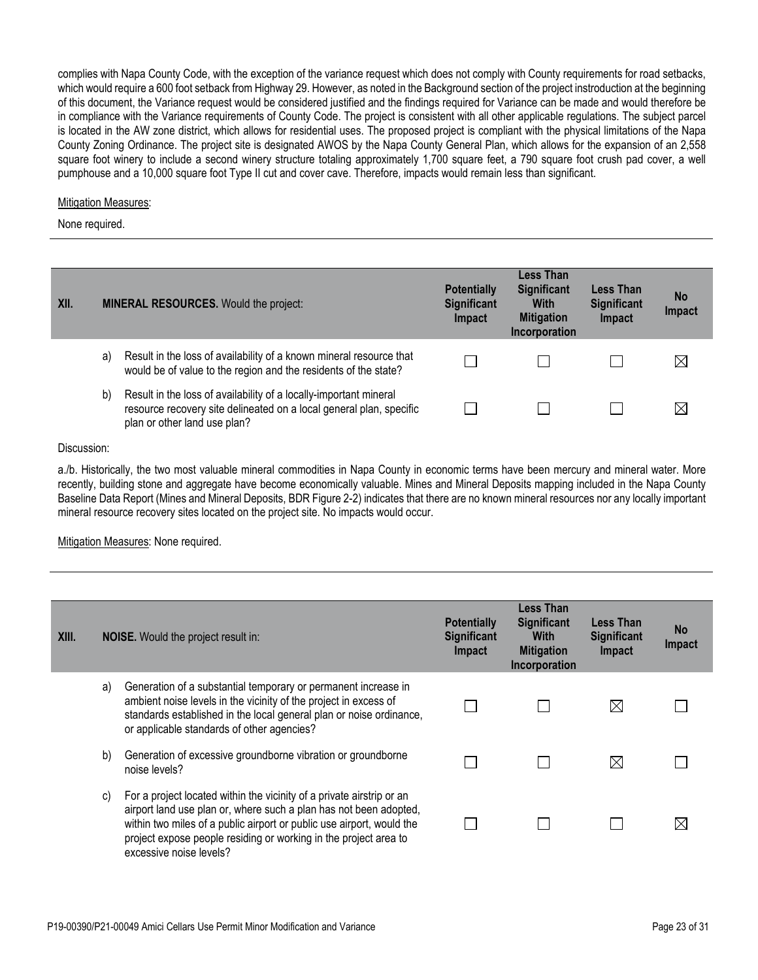complies with Napa County Code, with the exception of the variance request which does not comply with County requirements for road setbacks, which would require a 600 foot setback from Highway 29. However, as noted in the Background section of the project instroduction at the beginning of this document, the Variance request would be considered justified and the findings required for Variance can be made and would therefore be in compliance with the Variance requirements of County Code. The project is consistent with all other applicable regulations. The subject parcel is located in the AW zone district, which allows for residential uses. The proposed project is compliant with the physical limitations of the Napa County Zoning Ordinance. The project site is designated AWOS by the Napa County General Plan, which allows for the expansion of an 2,558 square foot winery to include a second winery structure totaling approximately 1,700 square feet, a 790 square foot crush pad cover, a well pumphouse and a 10,000 square foot Type II cut and cover cave. Therefore, impacts would remain less than significant.

### Mitigation Measures:

None required.

| XII. |    | <b>MINERAL RESOURCES.</b> Would the project:                                                                                                                             | <b>Potentially</b><br><b>Significant</b><br>Impact | Less Than<br><b>Significant</b><br><b>With</b><br><b>Mitigation</b><br>Incorporation | Less Than<br><b>Significant</b><br>Impact | <b>No</b><br>Impact |
|------|----|--------------------------------------------------------------------------------------------------------------------------------------------------------------------------|----------------------------------------------------|--------------------------------------------------------------------------------------|-------------------------------------------|---------------------|
|      | a) | Result in the loss of availability of a known mineral resource that<br>would be of value to the region and the residents of the state?                                   |                                                    |                                                                                      |                                           | $\boxtimes$         |
|      | b) | Result in the loss of availability of a locally-important mineral<br>resource recovery site delineated on a local general plan, specific<br>plan or other land use plan? |                                                    |                                                                                      |                                           | $\boxtimes$         |

#### Discussion:

a./b. Historically, the two most valuable mineral commodities in Napa County in economic terms have been mercury and mineral water. More recently, building stone and aggregate have become economically valuable. Mines and Mineral Deposits mapping included in the Napa County Baseline Data Report (Mines and Mineral Deposits, BDR Figure 2-2) indicates that there are no known mineral resources nor any locally important mineral resource recovery sites located on the project site. No impacts would occur.

## Mitigation Measures: None required.

| XIII. |    | <b>NOISE.</b> Would the project result in:                                                                                                                                                                                                                                                                         | <b>Potentially</b><br><b>Significant</b><br>Impact | <b>Less Than</b><br><b>Significant</b><br><b>With</b><br><b>Mitigation</b><br>Incorporation | <b>Less Than</b><br><b>Significant</b><br>Impact | <b>No</b><br>Impact |
|-------|----|--------------------------------------------------------------------------------------------------------------------------------------------------------------------------------------------------------------------------------------------------------------------------------------------------------------------|----------------------------------------------------|---------------------------------------------------------------------------------------------|--------------------------------------------------|---------------------|
|       | a) | Generation of a substantial temporary or permanent increase in<br>ambient noise levels in the vicinity of the project in excess of<br>standards established in the local general plan or noise ordinance,<br>or applicable standards of other agencies?                                                            |                                                    |                                                                                             | $\boxtimes$                                      |                     |
|       | b) | Generation of excessive groundborne vibration or groundborne<br>noise levels?                                                                                                                                                                                                                                      |                                                    |                                                                                             | $\boxtimes$                                      |                     |
|       | C) | For a project located within the vicinity of a private airstrip or an<br>airport land use plan or, where such a plan has not been adopted,<br>within two miles of a public airport or public use airport, would the<br>project expose people residing or working in the project area to<br>excessive noise levels? |                                                    |                                                                                             |                                                  | $\boxtimes$         |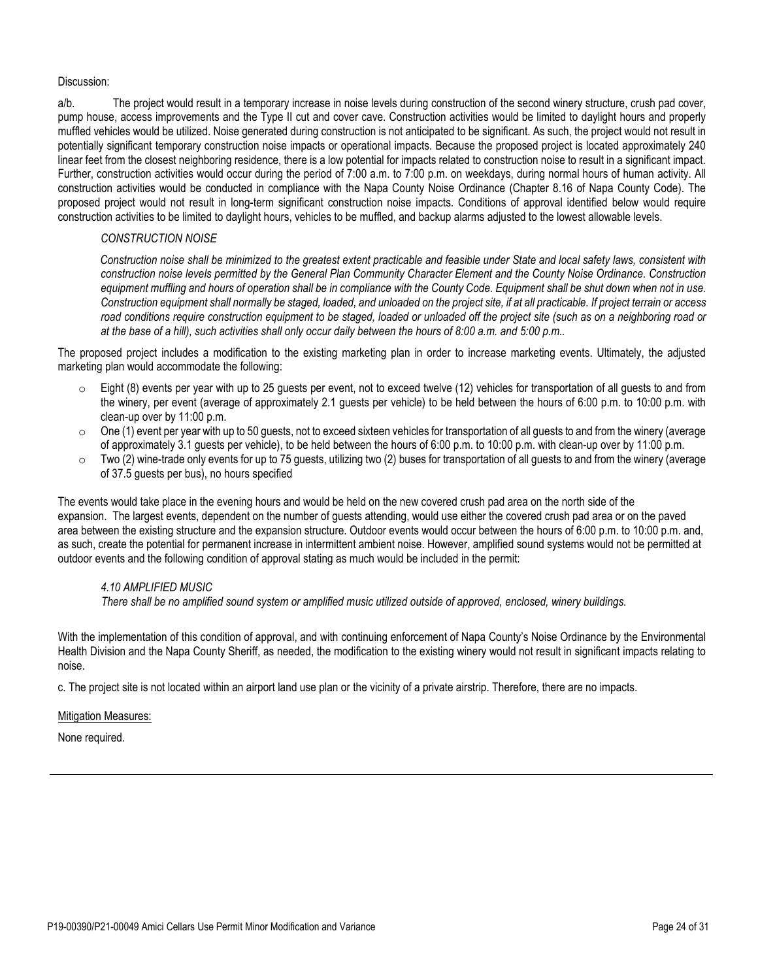a/b. The project would result in a temporary increase in noise levels during construction of the second winery structure, crush pad cover, pump house, access improvements and the Type II cut and cover cave. Construction activities would be limited to daylight hours and properly muffled vehicles would be utilized. Noise generated during construction is not anticipated to be significant. As such, the project would not result in potentially significant temporary construction noise impacts or operational impacts. Because the proposed project is located approximately 240 linear feet from the closest neighboring residence, there is a low potential for impacts related to construction noise to result in a significant impact. Further, construction activities would occur during the period of 7:00 a.m. to 7:00 p.m. on weekdays, during normal hours of human activity. All construction activities would be conducted in compliance with the Napa County Noise Ordinance (Chapter 8.16 of Napa County Code). The proposed project would not result in long-term significant construction noise impacts. Conditions of approval identified below would require construction activities to be limited to daylight hours, vehicles to be muffled, and backup alarms adjusted to the lowest allowable levels.

# *CONSTRUCTION NOISE*

 *Construction noise shall be minimized to the greatest extent practicable and feasible under State and local safety laws, consistent with construction noise levels permitted by the General Plan Community Character Element and the County Noise Ordinance. Construction*  equipment muffling and hours of operation shall be in compliance with the County Code. Equipment shall be shut down when not in use. *Construction equipment shall normally be staged, loaded, and unloaded on the project site, if at all practicable. If project terrain or access road conditions require construction equipment to be staged, loaded or unloaded off the project site (such as on a neighboring road or at the base of a hill), such activities shall only occur daily between the hours of 8:00 a.m. and 5:00 p.m..*

The proposed project includes a modification to the existing marketing plan in order to increase marketing events. Ultimately, the adjusted marketing plan would accommodate the following:

- Eight (8) events per year with up to 25 guests per event, not to exceed twelve (12) vehicles for transportation of all guests to and from the winery, per event (average of approximately 2.1 guests per vehicle) to be held between the hours of 6:00 p.m. to 10:00 p.m. with clean-up over by 11:00 p.m.
- $\circ$  One (1) event per year with up to 50 quests, not to exceed sixteen vehicles for transportation of all quests to and from the winery (average of approximately 3.1 guests per vehicle), to be held between the hours of 6:00 p.m. to 10:00 p.m. with clean-up over by 11:00 p.m.
- $\circ$  Two (2) wine-trade only events for up to 75 guests, utilizing two (2) buses for transportation of all guests to and from the winery (average of 37.5 guests per bus), no hours specified

The events would take place in the evening hours and would be held on the new covered crush pad area on the north side of the expansion. The largest events, dependent on the number of guests attending, would use either the covered crush pad area or on the paved area between the existing structure and the expansion structure. Outdoor events would occur between the hours of 6:00 p.m. to 10:00 p.m. and, as such, create the potential for permanent increase in intermittent ambient noise. However, amplified sound systems would not be permitted at outdoor events and the following condition of approval stating as much would be included in the permit:

# *4.10 AMPLIFIED MUSIC*

 *There shall be no amplified sound system or amplified music utilized outside of approved, enclosed, winery buildings.*

With the implementation of this condition of approval, and with continuing enforcement of Napa County's Noise Ordinance by the Environmental Health Division and the Napa County Sheriff, as needed, the modification to the existing winery would not result in significant impacts relating to noise.

c. The project site is not located within an airport land use plan or the vicinity of a private airstrip. Therefore, there are no impacts.

## Mitigation Measures: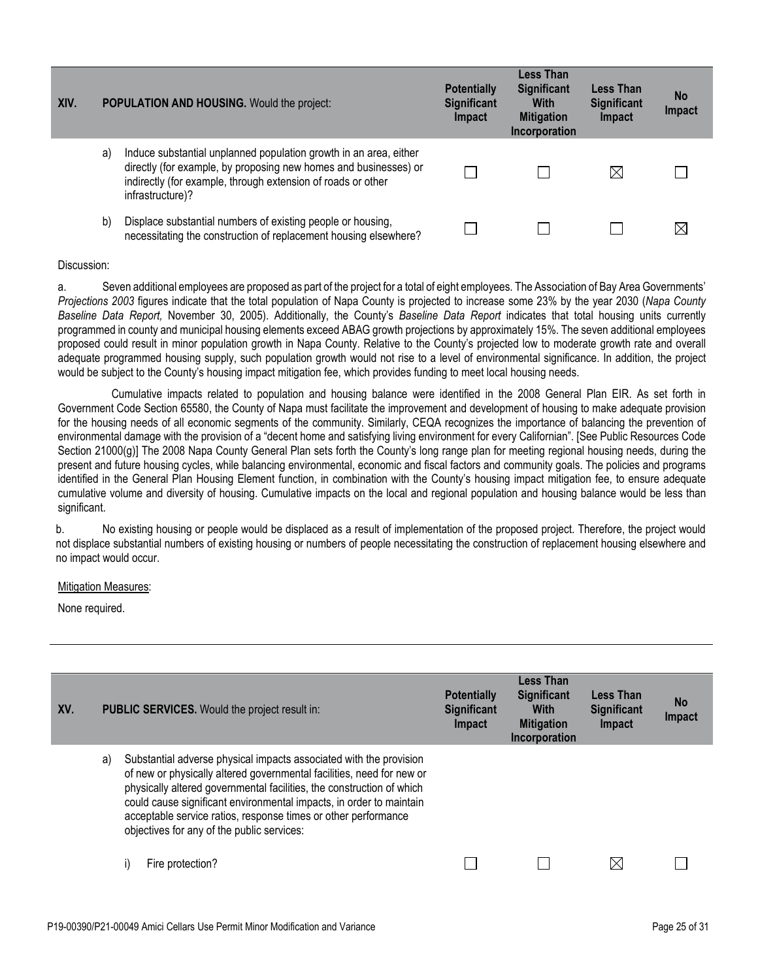| XIV. |    | <b>POPULATION AND HOUSING.</b> Would the project:                                                                                                                                                                         | <b>Potentially</b><br><b>Significant</b><br><b>Impact</b> | Less Than<br><b>Significant</b><br><b>With</b><br><b>Mitigation</b><br>Incorporation | Less Than<br><b>Significant</b><br>Impact | <b>No</b><br>Impact |
|------|----|---------------------------------------------------------------------------------------------------------------------------------------------------------------------------------------------------------------------------|-----------------------------------------------------------|--------------------------------------------------------------------------------------|-------------------------------------------|---------------------|
|      | a) | Induce substantial unplanned population growth in an area, either<br>directly (for example, by proposing new homes and businesses) or<br>indirectly (for example, through extension of roads or other<br>infrastructure)? |                                                           |                                                                                      | $\boxtimes$                               |                     |
|      | b) | Displace substantial numbers of existing people or housing,<br>necessitating the construction of replacement housing elsewhere?                                                                                           |                                                           |                                                                                      |                                           | $\boxtimes$         |

a. Seven additional employees are proposed as part of the project for a total of eight employees. The Association of Bay Area Governments' *Projections 2003* figures indicate that the total population of Napa County is projected to increase some 23% by the year 2030 (*Napa County Baseline Data Report,* November 30, 2005). Additionally, the County's *Baseline Data Report* indicates that total housing units currently programmed in county and municipal housing elements exceed ABAG growth projections by approximately 15%. The seven additional employees proposed could result in minor population growth in Napa County. Relative to the County's projected low to moderate growth rate and overall adequate programmed housing supply, such population growth would not rise to a level of environmental significance. In addition, the project would be subject to the County's housing impact mitigation fee, which provides funding to meet local housing needs.

 Cumulative impacts related to population and housing balance were identified in the 2008 General Plan EIR. As set forth in Government Code Section 65580, the County of Napa must facilitate the improvement and development of housing to make adequate provision for the housing needs of all economic segments of the community. Similarly, CEQA recognizes the importance of balancing the prevention of environmental damage with the provision of a "decent home and satisfying living environment for every Californian". [See Public Resources Code Section 21000(g)] The 2008 Napa County General Plan sets forth the County's long range plan for meeting regional housing needs, during the present and future housing cycles, while balancing environmental, economic and fiscal factors and community goals. The policies and programs identified in the General Plan Housing Element function, in combination with the County's housing impact mitigation fee, to ensure adequate cumulative volume and diversity of housing. Cumulative impacts on the local and regional population and housing balance would be less than significant.

b. No existing housing or people would be displaced as a result of implementation of the proposed project. Therefore, the project would not displace substantial numbers of existing housing or numbers of people necessitating the construction of replacement housing elsewhere and no impact would occur.

#### Mitigation Measures:

| XV. |    | <b>PUBLIC SERVICES.</b> Would the project result in:                                                                                                                                                                                                                                                                                                                                                        | <b>Potentially</b><br><b>Significant</b><br>Impact | Less Than<br><b>Significant</b><br>With<br><b>Mitigation</b> | <b>Less Than</b><br><b>Significant</b><br>Impact | <b>No</b><br>Impact |
|-----|----|-------------------------------------------------------------------------------------------------------------------------------------------------------------------------------------------------------------------------------------------------------------------------------------------------------------------------------------------------------------------------------------------------------------|----------------------------------------------------|--------------------------------------------------------------|--------------------------------------------------|---------------------|
|     |    |                                                                                                                                                                                                                                                                                                                                                                                                             |                                                    | Incorporation                                                |                                                  |                     |
|     | a) | Substantial adverse physical impacts associated with the provision<br>of new or physically altered governmental facilities, need for new or<br>physically altered governmental facilities, the construction of which<br>could cause significant environmental impacts, in order to maintain<br>acceptable service ratios, response times or other performance<br>objectives for any of the public services: |                                                    |                                                              |                                                  |                     |
|     |    | Fire protection?                                                                                                                                                                                                                                                                                                                                                                                            |                                                    |                                                              | $\bowtie$                                        |                     |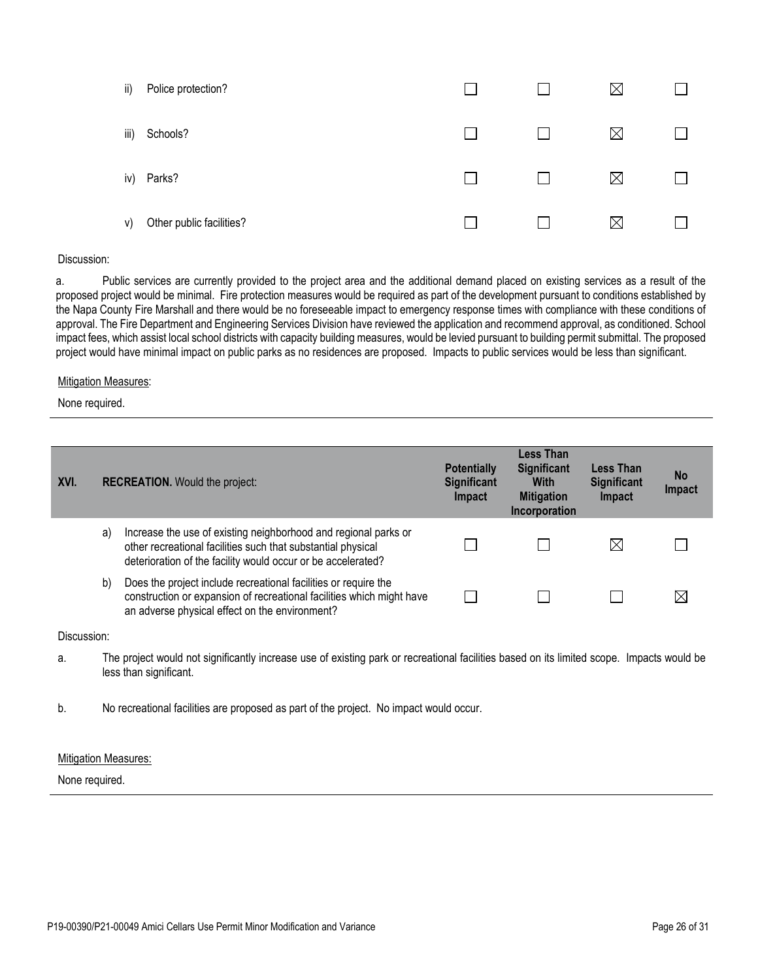| ii)  | Police protection?       |  | $\boxtimes$ |  |
|------|--------------------------|--|-------------|--|
| iii) | Schools?                 |  | $\boxtimes$ |  |
| iv)  | Parks?                   |  | $\boxtimes$ |  |
| V)   | Other public facilities? |  | $\boxtimes$ |  |

a. Public services are currently provided to the project area and the additional demand placed on existing services as a result of the proposed project would be minimal. Fire protection measures would be required as part of the development pursuant to conditions established by the Napa County Fire Marshall and there would be no foreseeable impact to emergency response times with compliance with these conditions of approval. The Fire Department and Engineering Services Division have reviewed the application and recommend approval, as conditioned. School impact fees, which assist local school districts with capacity building measures, would be levied pursuant to building permit submittal. The proposed project would have minimal impact on public parks as no residences are proposed. Impacts to public services would be less than significant.

### Mitigation Measures:

None required.

| XVI. |    | <b>RECREATION.</b> Would the project:                                                                                                                                                           | <b>Potentially</b><br><b>Significant</b><br>Impact | Less Than<br><b>Significant</b><br><b>With</b><br><b>Mitigation</b><br>Incorporation | <b>Less Than</b><br><b>Significant</b><br>Impact | <b>No</b><br>Impact |
|------|----|-------------------------------------------------------------------------------------------------------------------------------------------------------------------------------------------------|----------------------------------------------------|--------------------------------------------------------------------------------------|--------------------------------------------------|---------------------|
|      | a) | Increase the use of existing neighborhood and regional parks or<br>other recreational facilities such that substantial physical<br>deterioration of the facility would occur or be accelerated? |                                                    |                                                                                      | $\boxtimes$                                      |                     |
|      | b) | Does the project include recreational facilities or require the<br>construction or expansion of recreational facilities which might have<br>an adverse physical effect on the environment?      |                                                    |                                                                                      |                                                  |                     |

Discussion:

- a. The project would not significantly increase use of existing park or recreational facilities based on its limited scope. Impacts would be less than significant.
- b. No recreational facilities are proposed as part of the project. No impact would occur.

## Mitigation Measures: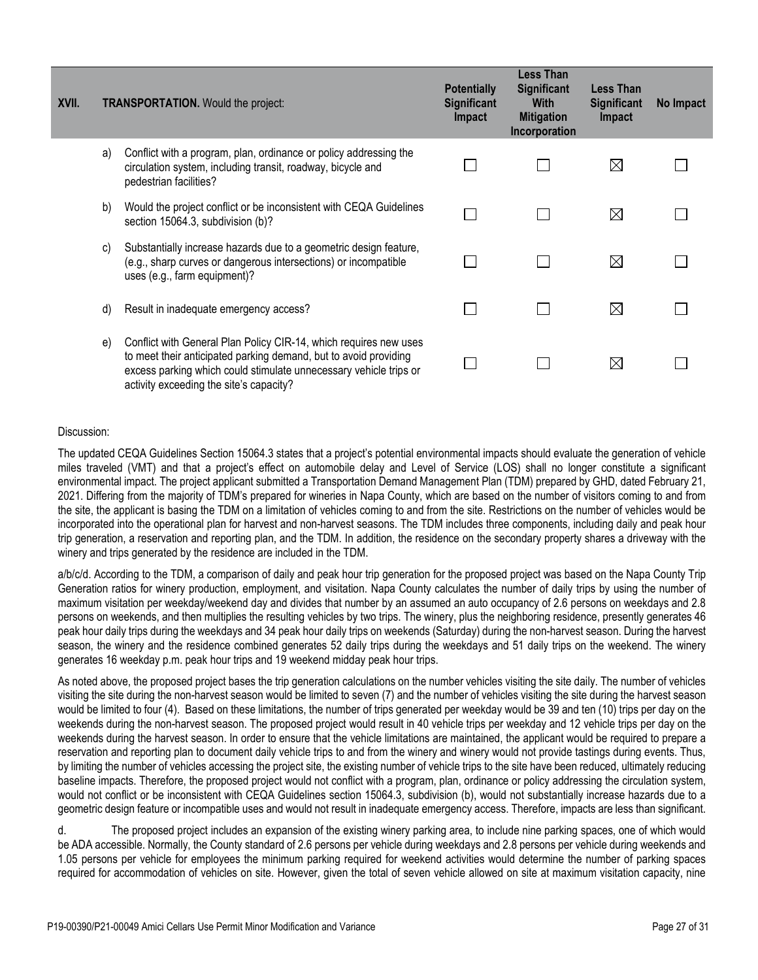| XVII. |    | <b>TRANSPORTATION.</b> Would the project:                                                                                                                                                                                                             | <b>Potentially</b><br><b>Significant</b><br><b>Impact</b> | <b>Less Than</b><br><b>Significant</b><br><b>With</b><br><b>Mitigation</b><br>Incorporation | <b>Less Than</b><br><b>Significant</b><br>Impact | No Impact |
|-------|----|-------------------------------------------------------------------------------------------------------------------------------------------------------------------------------------------------------------------------------------------------------|-----------------------------------------------------------|---------------------------------------------------------------------------------------------|--------------------------------------------------|-----------|
|       | a) | Conflict with a program, plan, ordinance or policy addressing the<br>circulation system, including transit, roadway, bicycle and<br>pedestrian facilities?                                                                                            |                                                           |                                                                                             | $\boxtimes$                                      |           |
|       | b) | Would the project conflict or be inconsistent with CEQA Guidelines<br>section 15064.3, subdivision (b)?                                                                                                                                               |                                                           |                                                                                             | $\boxtimes$                                      |           |
|       | C) | Substantially increase hazards due to a geometric design feature,<br>(e.g., sharp curves or dangerous intersections) or incompatible<br>uses (e.g., farm equipment)?                                                                                  |                                                           |                                                                                             | $\boxtimes$                                      |           |
|       | d) | Result in inadequate emergency access?                                                                                                                                                                                                                |                                                           |                                                                                             | $\boxtimes$                                      |           |
|       | e) | Conflict with General Plan Policy CIR-14, which requires new uses<br>to meet their anticipated parking demand, but to avoid providing<br>excess parking which could stimulate unnecessary vehicle trips or<br>activity exceeding the site's capacity? |                                                           |                                                                                             | $\boxtimes$                                      |           |

The updated CEQA Guidelines Section 15064.3 states that a project's potential environmental impacts should evaluate the generation of vehicle miles traveled (VMT) and that a project's effect on automobile delay and Level of Service (LOS) shall no longer constitute a significant environmental impact. The project applicant submitted a Transportation Demand Management Plan (TDM) prepared by GHD, dated February 21, 2021. Differing from the majority of TDM's prepared for wineries in Napa County, which are based on the number of visitors coming to and from the site, the applicant is basing the TDM on a limitation of vehicles coming to and from the site. Restrictions on the number of vehicles would be incorporated into the operational plan for harvest and non-harvest seasons. The TDM includes three components, including daily and peak hour trip generation, a reservation and reporting plan, and the TDM. In addition, the residence on the secondary property shares a driveway with the winery and trips generated by the residence are included in the TDM.

a/b/c/d. According to the TDM, a comparison of daily and peak hour trip generation for the proposed project was based on the Napa County Trip Generation ratios for winery production, employment, and visitation. Napa County calculates the number of daily trips by using the number of maximum visitation per weekday/weekend day and divides that number by an assumed an auto occupancy of 2.6 persons on weekdays and 2.8 persons on weekends, and then multiplies the resulting vehicles by two trips. The winery, plus the neighboring residence, presently generates 46 peak hour daily trips during the weekdays and 34 peak hour daily trips on weekends (Saturday) during the non-harvest season. During the harvest season, the winery and the residence combined generates 52 daily trips during the weekdays and 51 daily trips on the weekend. The winery generates 16 weekday p.m. peak hour trips and 19 weekend midday peak hour trips.

As noted above, the proposed project bases the trip generation calculations on the number vehicles visiting the site daily. The number of vehicles visiting the site during the non-harvest season would be limited to seven (7) and the number of vehicles visiting the site during the harvest season would be limited to four (4). Based on these limitations, the number of trips generated per weekday would be 39 and ten (10) trips per day on the weekends during the non-harvest season. The proposed project would result in 40 vehicle trips per weekday and 12 vehicle trips per day on the weekends during the harvest season. In order to ensure that the vehicle limitations are maintained, the applicant would be required to prepare a reservation and reporting plan to document daily vehicle trips to and from the winery and winery would not provide tastings during events. Thus, by limiting the number of vehicles accessing the project site, the existing number of vehicle trips to the site have been reduced, ultimately reducing baseline impacts. Therefore, the proposed project would not conflict with a program, plan, ordinance or policy addressing the circulation system, would not conflict or be inconsistent with CEQA Guidelines section 15064.3, subdivision (b), would not substantially increase hazards due to a geometric design feature or incompatible uses and would not result in inadequate emergency access. Therefore, impacts are less than significant.

d. The proposed project includes an expansion of the existing winery parking area, to include nine parking spaces, one of which would be ADA accessible. Normally, the County standard of 2.6 persons per vehicle during weekdays and 2.8 persons per vehicle during weekends and 1.05 persons per vehicle for employees the minimum parking required for weekend activities would determine the number of parking spaces required for accommodation of vehicles on site. However, given the total of seven vehicle allowed on site at maximum visitation capacity, nine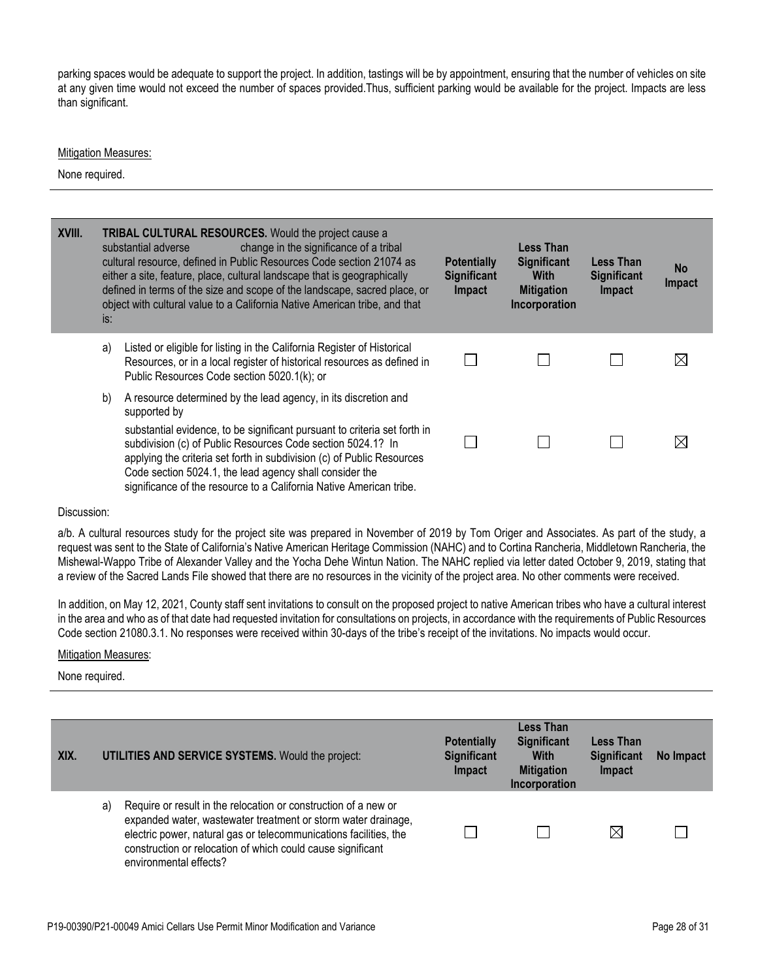parking spaces would be adequate to support the project. In addition, tastings will be by appointment, ensuring that the number of vehicles on site at any given time would not exceed the number of spaces provided.Thus, sufficient parking would be available for the project. Impacts are less than significant.

### Mitigation Measures:

None required.

| XVIII. | is: | <b>TRIBAL CULTURAL RESOURCES.</b> Would the project cause a<br>change in the significance of a tribal<br>substantial adverse<br>cultural resource, defined in Public Resources Code section 21074 as<br>either a site, feature, place, cultural landscape that is geographically<br>defined in terms of the size and scope of the landscape, sacred place, or<br>object with cultural value to a California Native American tribe, and that | <b>Potentially</b><br><b>Significant</b><br>Impact | Less Than<br><b>Significant</b><br><b>With</b><br><b>Mitigation</b><br>Incorporation | <b>Less Than</b><br><b>Significant</b><br>Impact | <b>No</b><br>Impact |
|--------|-----|---------------------------------------------------------------------------------------------------------------------------------------------------------------------------------------------------------------------------------------------------------------------------------------------------------------------------------------------------------------------------------------------------------------------------------------------|----------------------------------------------------|--------------------------------------------------------------------------------------|--------------------------------------------------|---------------------|
|        | a)  | Listed or eligible for listing in the California Register of Historical<br>Resources, or in a local register of historical resources as defined in<br>Public Resources Code section 5020.1(k); or                                                                                                                                                                                                                                           |                                                    |                                                                                      |                                                  | $\boxtimes$         |
|        | b)  | A resource determined by the lead agency, in its discretion and<br>supported by<br>substantial evidence, to be significant pursuant to criteria set forth in<br>subdivision (c) of Public Resources Code section 5024.1? In<br>applying the criteria set forth in subdivision (c) of Public Resources<br>Code section 5024.1, the lead agency shall consider the<br>significance of the resource to a California Native American tribe.     |                                                    |                                                                                      |                                                  | ⊠                   |

#### Discussion:

a/b. A cultural resources study for the project site was prepared in November of 2019 by Tom Origer and Associates. As part of the study, a request was sent to the State of California's Native American Heritage Commission (NAHC) and to Cortina Rancheria, Middletown Rancheria, the Mishewal-Wappo Tribe of Alexander Valley and the Yocha Dehe Wintun Nation. The NAHC replied via letter dated October 9, 2019, stating that a review of the Sacred Lands File showed that there are no resources in the vicinity of the project area. No other comments were received.

In addition, on May 12, 2021, County staff sent invitations to consult on the proposed project to native American tribes who have a cultural interest in the area and who as of that date had requested invitation for consultations on projects, in accordance with the requirements of Public Resources Code section 21080.3.1. No responses were received within 30-days of the tribe's receipt of the invitations. No impacts would occur.

### Mitigation Measures:

| XIX. | <b>UTILITIES AND SERVICE SYSTEMS.</b> Would the project:                                                                                                                                                                                                                                             | <b>Potentially</b><br><b>Significant</b><br>Impact | Less Than<br><b>Significant</b><br><b>With</b><br><b>Mitigation</b><br>Incorporation | Less Than<br><b>Significant</b><br>Impact | No Impact |
|------|------------------------------------------------------------------------------------------------------------------------------------------------------------------------------------------------------------------------------------------------------------------------------------------------------|----------------------------------------------------|--------------------------------------------------------------------------------------|-------------------------------------------|-----------|
|      | Require or result in the relocation or construction of a new or<br>a)<br>expanded water, wastewater treatment or storm water drainage,<br>electric power, natural gas or telecommunications facilities, the<br>construction or relocation of which could cause significant<br>environmental effects? |                                                    |                                                                                      | ⊠                                         |           |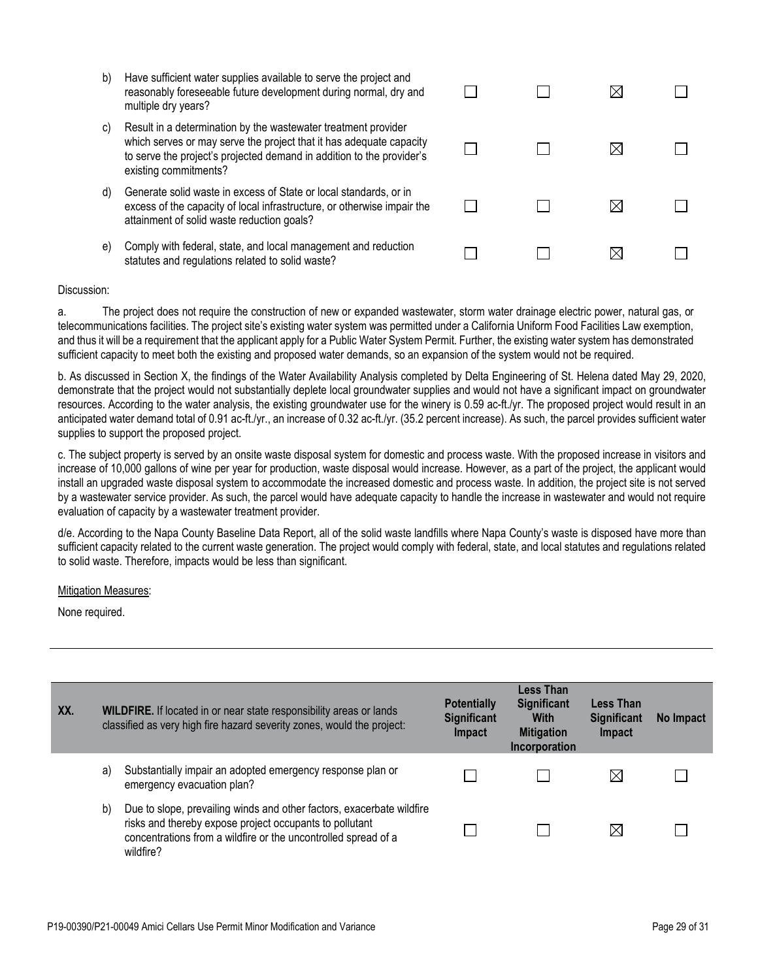| b) | Have sufficient water supplies available to serve the project and |
|----|-------------------------------------------------------------------|
|    | reasonably foreseeable future development during normal, dry and  |
|    | multiple dry years?                                               |

| c). | Result in a determination by the wastewater treatment provider        |
|-----|-----------------------------------------------------------------------|
|     | which serves or may serve the project that it has adequate capacity   |
|     | to serve the project's projected demand in addition to the provider's |
|     | existing commitments?                                                 |

- d) Generate solid waste in excess of State or local standards, or in excess of the capacity of local infrastructure, or otherwise impair the attainment of solid waste reduction goals?
- e) Comply with federal, state, and local management and reduction statutes and regulations related to solid waste?

| $\Box$ | $\Box$ | $\boxtimes$ |        |
|--------|--------|-------------|--------|
| $\Box$ | $\Box$ | $\boxtimes$ |        |
| $\Box$ | $\Box$ | $\boxtimes$ | $\Box$ |
|        |        | ⊠           |        |

a. The project does not require the construction of new or expanded wastewater, storm water drainage electric power, natural gas, or telecommunications facilities. The project site's existing water system was permitted under a California Uniform Food Facilities Law exemption, and thus it will be a requirement that the applicant apply for a Public Water System Permit. Further, the existing water system has demonstrated sufficient capacity to meet both the existing and proposed water demands, so an expansion of the system would not be required.

b. As discussed in Section X, the findings of the Water Availability Analysis completed by Delta Engineering of St. Helena dated May 29, 2020, demonstrate that the project would not substantially deplete local groundwater supplies and would not have a significant impact on groundwater resources. According to the water analysis, the existing groundwater use for the winery is 0.59 ac-ft./yr. The proposed project would result in an anticipated water demand total of 0.91 ac-ft./yr., an increase of 0.32 ac-ft./yr. (35.2 percent increase). As such, the parcel provides sufficient water supplies to support the proposed project.

c. The subject property is served by an onsite waste disposal system for domestic and process waste. With the proposed increase in visitors and increase of 10,000 gallons of wine per year for production, waste disposal would increase. However, as a part of the project, the applicant would install an upgraded waste disposal system to accommodate the increased domestic and process waste. In addition, the project site is not served by a wastewater service provider. As such, the parcel would have adequate capacity to handle the increase in wastewater and would not require evaluation of capacity by a wastewater treatment provider.

d/e. According to the Napa County Baseline Data Report, all of the solid waste landfills where Napa County's waste is disposed have more than sufficient capacity related to the current waste generation. The project would comply with federal, state, and local statutes and regulations related to solid waste. Therefore, impacts would be less than significant.

## Mitigation Measures:

| XX. |    | <b>WILDFIRE.</b> If located in or near state responsibility areas or lands<br>classified as very high fire hazard severity zones, would the project:                                                            | <b>Potentially</b><br><b>Significant</b><br>Impact | Less Than<br><b>Significant</b><br><b>With</b><br><b>Mitigation</b><br>Incorporation | <b>Less Than</b><br><b>Significant</b><br>Impact | No Impact |
|-----|----|-----------------------------------------------------------------------------------------------------------------------------------------------------------------------------------------------------------------|----------------------------------------------------|--------------------------------------------------------------------------------------|--------------------------------------------------|-----------|
|     | a) | Substantially impair an adopted emergency response plan or<br>emergency evacuation plan?                                                                                                                        |                                                    |                                                                                      | $\boxtimes$                                      |           |
|     | b) | Due to slope, prevailing winds and other factors, exacerbate wildfire<br>risks and thereby expose project occupants to pollutant<br>concentrations from a wildfire or the uncontrolled spread of a<br>wildfire? |                                                    |                                                                                      | $\boxtimes$                                      |           |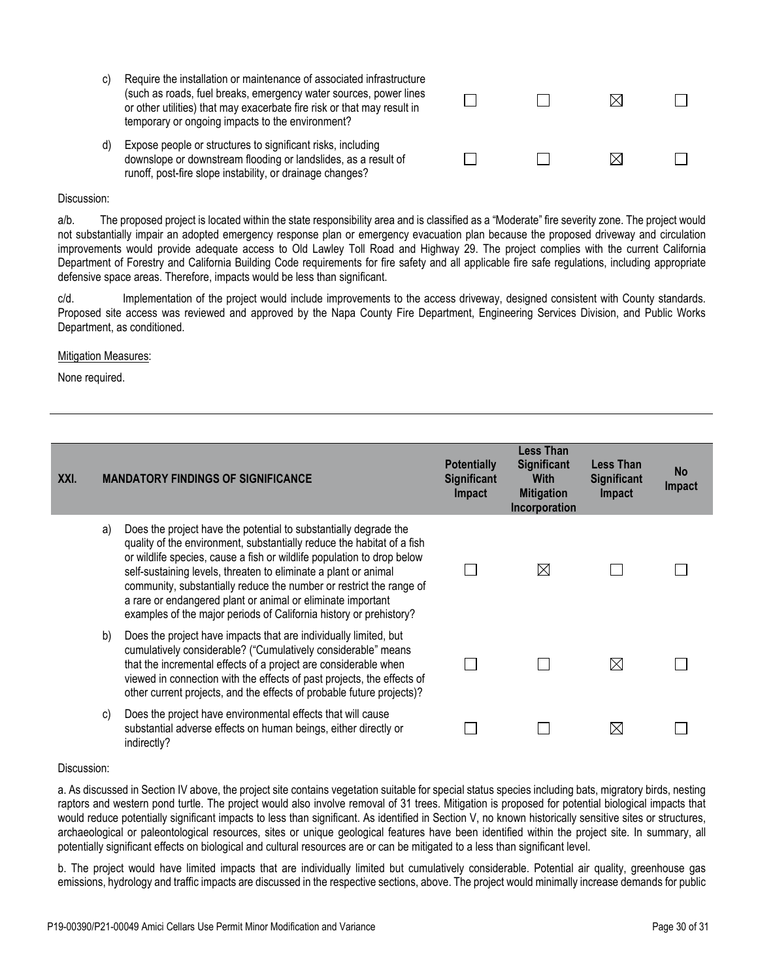- c) Require the installation or maintenance of associated infrastructure (such as roads, fuel breaks, emergency water sources, power lines or other utilities) that may exacerbate fire risk or that may result in temporary or ongoing impacts to the environment?
- d) Expose people or structures to significant risks, including downslope or downstream flooding or landslides, as a result of runoff, post-fire slope instability, or drainage changes?

| $\begin{array}{ccccccccccccccccc} \multicolumn{3}{c}{} & \multicolumn{3}{c}{} & \multicolumn{3}{c}{} & \multicolumn{3}{c}{} & \multicolumn{3}{c}{} & \multicolumn{3}{c}{} & \multicolumn{3}{c}{} & \multicolumn{3}{c}{} & \multicolumn{3}{c}{} & \multicolumn{3}{c}{} & \multicolumn{3}{c}{} & \multicolumn{3}{c}{} & \multicolumn{3}{c}{} & \multicolumn{3}{c}{} & \multicolumn{3}{c}{} & \multicolumn{3}{c}{} & \multicolumn{3}{c}{} & \multicolumn{3}{c}{} & \multicolumn{3}{c}{} &$ |  |
|-----------------------------------------------------------------------------------------------------------------------------------------------------------------------------------------------------------------------------------------------------------------------------------------------------------------------------------------------------------------------------------------------------------------------------------------------------------------------------------------|--|
| $\begin{array}{ccccccccccccccccc} \Box & \Box & \Box & \Box & \Box & \Box \end{array} \qquad \begin{array}{ccccccccccccccccc} \boxtimes & \Box & \Box \end{array}$                                                                                                                                                                                                                                                                                                                      |  |

a/b. The proposed project is located within the state responsibility area and is classified as a "Moderate" fire severity zone. The project would not substantially impair an adopted emergency response plan or emergency evacuation plan because the proposed driveway and circulation improvements would provide adequate access to Old Lawley Toll Road and Highway 29. The project complies with the current California Department of Forestry and California Building Code requirements for fire safety and all applicable fire safe regulations, including appropriate defensive space areas. Therefore, impacts would be less than significant.

c/d. Implementation of the project would include improvements to the access driveway, designed consistent with County standards. Proposed site access was reviewed and approved by the Napa County Fire Department, Engineering Services Division, and Public Works Department, as conditioned.

#### Mitigation Measures:

None required.

| XXI. | <b>MANDATORY FINDINGS OF SIGNIFICANCE</b> |                                                                                                                                                                                                                                                                                                                                                                                                                                                                                                     | <b>Potentially</b><br><b>Significant</b><br><b>Impact</b> | <b>Less Than</b><br><b>Significant</b><br><b>With</b><br><b>Mitigation</b><br>Incorporation | Less Than<br><b>Significant</b><br><b>Impact</b> | <b>No</b><br>Impact |
|------|-------------------------------------------|-----------------------------------------------------------------------------------------------------------------------------------------------------------------------------------------------------------------------------------------------------------------------------------------------------------------------------------------------------------------------------------------------------------------------------------------------------------------------------------------------------|-----------------------------------------------------------|---------------------------------------------------------------------------------------------|--------------------------------------------------|---------------------|
|      | a)                                        | Does the project have the potential to substantially degrade the<br>quality of the environment, substantially reduce the habitat of a fish<br>or wildlife species, cause a fish or wildlife population to drop below<br>self-sustaining levels, threaten to eliminate a plant or animal<br>community, substantially reduce the number or restrict the range of<br>a rare or endangered plant or animal or eliminate important<br>examples of the major periods of California history or prehistory? |                                                           | $\boxtimes$                                                                                 |                                                  |                     |
|      | b)                                        | Does the project have impacts that are individually limited, but<br>cumulatively considerable? ("Cumulatively considerable" means<br>that the incremental effects of a project are considerable when<br>viewed in connection with the effects of past projects, the effects of<br>other current projects, and the effects of probable future projects)?                                                                                                                                             |                                                           |                                                                                             | $\boxtimes$                                      |                     |
|      | C)                                        | Does the project have environmental effects that will cause<br>substantial adverse effects on human beings, either directly or<br>indirectly?                                                                                                                                                                                                                                                                                                                                                       |                                                           |                                                                                             | $\boxtimes$                                      |                     |

#### Discussion:

a. As discussed in Section IV above, the project site contains vegetation suitable for special status species including bats, migratory birds, nesting raptors and western pond turtle. The project would also involve removal of 31 trees. Mitigation is proposed for potential biological impacts that would reduce potentially significant impacts to less than significant. As identified in Section V, no known historically sensitive sites or structures, archaeological or paleontological resources, sites or unique geological features have been identified within the project site. In summary, all potentially significant effects on biological and cultural resources are or can be mitigated to a less than significant level.

b. The project would have limited impacts that are individually limited but cumulatively considerable. Potential air quality, greenhouse gas emissions, hydrology and traffic impacts are discussed in the respective sections, above. The project would minimally increase demands for public